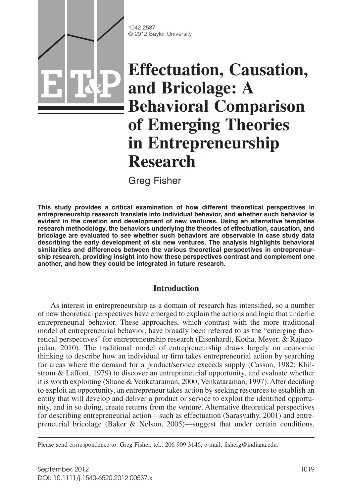1042-2587 © 2012 Baylor University

**E T&P**

# **Effectuation, Causation, and Bricolage: A Behavioral Comparison of Emerging Theories in Entrepreneurship Research**

Greg Fisher

**This study provides a critical examination of how different theoretical perspectives in entrepreneurship research translate into individual behavior, and whether such behavior is evident in the creation and development of new ventures. Using an alternative templates research methodology, the behaviors underlying the theories of effectuation, causation, and bricolage are evaluated to see whether such behaviors are observable in case study data describing the early development of six new ventures. The analysis highlights behavioral similarities and differences between the various theoretical perspectives in entrepreneurship research, providing insight into how these perspectives contrast and complement one another, and how they could be integrated in future research.**

# **Introduction**

As interest in entrepreneurship as a domain of research has intensified, so a number of new theoretical perspectives have emerged to explain the actions and logic that underlie entrepreneurial behavior. These approaches, which contrast with the more traditional model of entrepreneurial behavior, have broadly been referred to as the "emerging theoretical perspectives" for entrepreneurship research (Eisenhardt, Kotha, Meyer, & Rajagopalan, 2010). The traditional model of entrepreneurship draws largely on economic thinking to describe how an individual or firm takes entrepreneurial action by searching for areas where the demand for a product/service exceeds supply (Casson, 1982; Khilstrom & Laffont, 1979) to discover an entrepreneurial opportunity, and evaluate whether it is worth exploiting (Shane & Venkataraman, 2000; Venkataraman, 1997). After deciding to exploit an opportunity, an entrepreneur takes action by seeking resources to establish an entity that will develop and deliver a product or service to exploit the identified opportunity, and in so doing, create returns from the venture. Alternative theoretical perspectives for describing entrepreneurial action—such as effectuation (Sarasvathy, 2001) and entrepreneurial bricolage (Baker & Nelson, 2005)—suggest that under certain conditions,

Please send correspondence to: Greg Fisher, tel.: 206 909 3146; e-mail: fisherg@indiana.edu.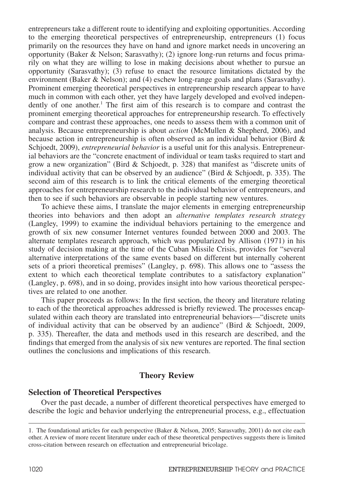entrepreneurs take a different route to identifying and exploiting opportunities. According to the emerging theoretical perspectives of entrepreneurship, entrepreneurs (1) focus primarily on the resources they have on hand and ignore market needs in uncovering an opportunity (Baker & Nelson; Sarasvathy); (2) ignore long-run returns and focus primarily on what they are willing to lose in making decisions about whether to pursue an opportunity (Sarasvathy); (3) refuse to enact the resource limitations dictated by the environment (Baker & Nelson); and (4) eschew long-range goals and plans (Sarasvathy). Prominent emerging theoretical perspectives in entrepreneurship research appear to have much in common with each other, yet they have largely developed and evolved independently of one another.<sup>1</sup> The first aim of this research is to compare and contrast the prominent emerging theoretical approaches for entrepreneurship research. To effectively compare and contrast these approaches, one needs to assess them with a common unit of analysis. Because entrepreneurship is about *action* (McMullen & Shepherd, 2006), and because action in entrepreneurship is often observed as an individual behavior (Bird & Schjoedt, 2009), *entrepreneurial behavior* is a useful unit for this analysis. Entrepreneurial behaviors are the "concrete enactment of individual or team tasks required to start and grow a new organization" (Bird & Schjoedt, p. 328) that manifest as "discrete units of individual activity that can be observed by an audience" (Bird  $&$  Schjoedt, p. 335). The second aim of this research is to link the critical elements of the emerging theoretical approaches for entrepreneurship research to the individual behavior of entrepreneurs, and then to see if such behaviors are observable in people starting new ventures.

To achieve these aims, I translate the major elements in emerging entrepreneurship theories into behaviors and then adopt an *alternative templates research strategy* (Langley, 1999) to examine the individual behaviors pertaining to the emergence and growth of six new consumer Internet ventures founded between 2000 and 2003. The alternate templates research approach, which was popularized by Allison (1971) in his study of decision making at the time of the Cuban Missile Crisis, provides for "several alternative interpretations of the same events based on different but internally coherent sets of a priori theoretical premises" (Langley, p. 698). This allows one to "assess the extent to which each theoretical template contributes to a satisfactory explanation" (Langley, p. 698), and in so doing, provides insight into how various theoretical perspectives are related to one another.

This paper proceeds as follows: In the first section, the theory and literature relating to each of the theoretical approaches addressed is briefly reviewed. The processes encapsulated within each theory are translated into entrepreneurial behaviors—"discrete units of individual activity that can be observed by an audience" (Bird & Schjoedt, 2009, p. 335). Thereafter, the data and methods used in this research are described, and the findings that emerged from the analysis of six new ventures are reported. The final section outlines the conclusions and implications of this research.

## **Theory Review**

### **Selection of Theoretical Perspectives**

Over the past decade, a number of different theoretical perspectives have emerged to describe the logic and behavior underlying the entrepreneurial process, e.g., effectuation

<sup>1.</sup> The foundational articles for each perspective (Baker & Nelson, 2005; Sarasvathy, 2001) do not cite each other. A review of more recent literature under each of these theoretical perspectives suggests there is limited cross-citation between research on effectuation and entrepreneurial bricolage.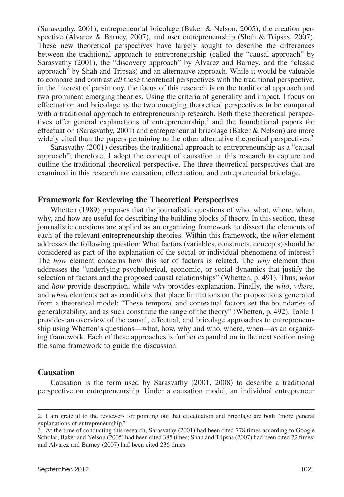(Sarasvathy, 2001), entrepreneurial bricolage (Baker & Nelson, 2005), the creation perspective (Alvarez & Barney, 2007), and user entrepreneurship (Shah & Tripsas, 2007). These new theoretical perspectives have largely sought to describe the differences between the traditional approach to entrepreneurship (called the "causal approach" by Sarasvathy (2001), the "discovery approach" by Alvarez and Barney, and the "classic approach" by Shah and Tripsas) and an alternative approach. While it would be valuable to compare and contrast *all* these theoretical perspectives with the traditional perspective, in the interest of parsimony, the focus of this research is on the traditional approach and two prominent emerging theories. Using the criteria of generality and impact, I focus on effectuation and bricolage as the two emerging theoretical perspectives to be compared with a traditional approach to entrepreneurship research. Both these theoretical perspectives offer general explanations of entrepreneurship,<sup>2</sup> and the foundational papers for effectuation (Sarasvathy, 2001) and entrepreneurial bricolage (Baker & Nelson) are more widely cited than the papers pertaining to the other alternative theoretical perspectives.<sup>3</sup>

Sarasvathy (2001) describes the traditional approach to entrepreneurship as a "causal approach"; therefore, I adopt the concept of causation in this research to capture and outline the traditional theoretical perspective. The three theoretical perspectives that are examined in this research are causation, effectuation, and entrepreneurial bricolage.

### **Framework for Reviewing the Theoretical Perspectives**

Whetten (1989) proposes that the journalistic questions of who, what, where, when, why, and how are useful for describing the building blocks of theory. In this section, these journalistic questions are applied as an organizing framework to dissect the elements of each of the relevant entrepreneurship theories. Within this framework, the *what* element addresses the following question: What factors (variables, constructs, concepts) should be considered as part of the explanation of the social or individual phenomena of interest? The *how* element concerns how this set of factors is related. The *why* element then addresses the "underlying psychological, economic, or social dynamics that justify the selection of factors and the proposed causal relationships" (Whetten, p. 491). Thus, *what* and *how* provide description, while *why* provides explanation. Finally, the *who*, *where*, and *when* elements act as conditions that place limitations on the propositions generated from a theoretical model: "These temporal and contextual factors set the boundaries of generalizability, and as such constitute the range of the theory" (Whetten, p. 492). Table 1 provides an overview of the causal, effectual, and bricolage approaches to entrepreneurship using Whetten's questions—what, how, why and who, where, when—as an organizing framework. Each of these approaches is further expanded on in the next section using the same framework to guide the discussion.

### **Causation**

Causation is the term used by Sarasvathy (2001, 2008) to describe a traditional perspective on entrepreneurship. Under a causation model, an individual entrepreneur

<sup>2.</sup> I am grateful to the reviewers for pointing out that effectuation and bricolage are both "more general explanations of entrepreneurship."

<sup>3.</sup> At the time of conducting this research, Sarasvathy (2001) had been cited 778 times according to Google Scholar; Baker and Nelson (2005) had been cited 385 times; Shah and Tripsas (2007) had been cited 72 times; and Alvarez and Barney (2007) had been cited 236 times.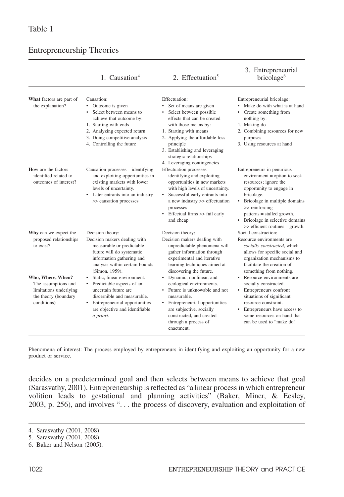# Entrepreneurship Theories

|                                                                                                           | 1. Causation <sup>4</sup>                                                                                                                                                                                    | 2. Effectuation <sup>5</sup>                                                                                                                                                                                                                                                                                              | 3. Entrepreneurial<br>bricolage <sup>6</sup>                                                                                                                                                                                                                                                             |
|-----------------------------------------------------------------------------------------------------------|--------------------------------------------------------------------------------------------------------------------------------------------------------------------------------------------------------------|---------------------------------------------------------------------------------------------------------------------------------------------------------------------------------------------------------------------------------------------------------------------------------------------------------------------------|----------------------------------------------------------------------------------------------------------------------------------------------------------------------------------------------------------------------------------------------------------------------------------------------------------|
| What factors are part of<br>the explanation?                                                              | Causation:<br>Outcome is given<br>Select between means to<br>achieve that outcome by:<br>1. Starting with ends<br>2. Analyzing expected return<br>3. Doing competitive analysis<br>4. Controlling the future | Effectuation:<br>Set of means are given<br>$\bullet$<br>Select between possible<br>$\bullet$<br>effects that can be created<br>with those means by:<br>1. Starting with means<br>2. Applying the affordable loss<br>principle<br>3. Establishing and leveraging<br>strategic relationships<br>4. Leveraging contingencies | Entrepreneurial bricolage:<br>Make do with what is at hand<br>• Create something from<br>nothing by:<br>1. Making do<br>2. Combining resources for new<br>purposes<br>3. Using resources at hand                                                                                                         |
| <b>How</b> are the factors<br>identified related to<br>outcomes of interest?                              | Causation processes $=$ identifying<br>and exploiting opportunities in<br>existing markets with lower<br>levels of uncertainty.<br>• Later entrants into an industry<br>>> causation processes               | Effectuation processes =<br>identifying and exploiting<br>opportunities in new markets<br>with high levels of uncertainty.<br>$\bullet$<br>Successful early entrants into<br>a new industry >> effectuation<br>processes<br>• Effectual firms >> fail early<br>and cheap                                                  | Entrepreneurs in penurious<br>environment = option to seek<br>resources; ignore the<br>opportunity to engage in<br>bricolage.<br>Bricolage in multiple domains<br>$\bullet$<br>$\gg$ reinforcing<br>patterns = stalled growth.<br>• Bricolage in selective domains<br>$\gg$ efficient routines = growth. |
| Why can we expect the<br>proposed relationships<br>to exist?                                              | Decision theory:<br>Decision makers dealing with<br>measurable or predictable<br>future will do systematic<br>information gathering and<br>analysis within certain bounds<br>(Simon, 1959).                  | Decision theory:<br>Decision makers dealing with<br>unpredictable phenomena will<br>gather information through<br>experimental and iterative<br>learning techniques aimed at<br>discovering the future.                                                                                                                   | Social construction:<br>Resource environments are<br>socially constructed, which<br>allows for specific social and<br>organization mechanisms to<br>facilitate the creation of<br>something from nothing.                                                                                                |
| Who, Where, When?<br>The assumptions and<br>limitations underlying<br>the theory (boundary<br>conditions) | Static, linear environment.<br>Predictable aspects of an<br>uncertain future are<br>discernible and measurable.<br>Entrepreneurial opportunities<br>are objective and identifiable<br>a priori.              | Dynamic, nonlinear, and<br>$\bullet$<br>ecological environments.<br>• Future is unknowable and not<br>measurable.<br>Entrepreneurial opportunities<br>$\bullet$<br>are subjective, socially<br>constructed, and created<br>through a process of<br>enactment.                                                             | • Resource environments are<br>socially constructed.<br>• Entrepreneurs confront<br>situations of significant<br>resource constraint.<br>• Entrepreneurs have access to<br>some resources on hand that<br>can be used to "make do."                                                                      |

Phenomena of interest: The process employed by entrepreneurs in identifying and exploiting an opportunity for a new product or service.

decides on a predetermined goal and then selects between means to achieve that goal (Sarasvathy, 2001). Entrepreneurship is reflected as "a linear process in which entrepreneur volition leads to gestational and planning activities" (Baker, Miner, & Eesley, 2003, p. 256), and involves ". . . the process of discovery, evaluation and exploitation of

<sup>4.</sup> Sarasvathy (2001, 2008).

<sup>5.</sup> Sarasvathy (2001, 2008).

<sup>6.</sup> Baker and Nelson (2005).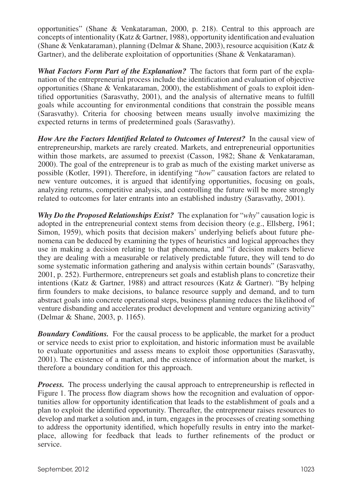opportunities" (Shane & Venkataraman, 2000, p. 218). Central to this approach are concepts of intentionality (Katz & Gartner, 1988), opportunity identification and evaluation (Shane & Venkataraman), planning (Delmar & Shane, 2003), resource acquisition (Katz & Gartner), and the deliberate exploitation of opportunities (Shane & Venkataraman).

*What Factors Form Part of the Explanation?* The factors that form part of the explanation of the entrepreneurial process include the identification and evaluation of objective opportunities (Shane & Venkataraman, 2000), the establishment of goals to exploit identified opportunities (Sarasvathy, 2001), and the analysis of alternative means to fulfill goals while accounting for environmental conditions that constrain the possible means (Sarasvathy). Criteria for choosing between means usually involve maximizing the expected returns in terms of predetermined goals (Sarasvathy).

*How Are the Factors Identified Related to Outcomes of Interest?* In the causal view of entrepreneurship, markets are rarely created. Markets, and entrepreneurial opportunities within those markets, are assumed to preexist (Casson, 1982; Shane & Venkataraman, 2000). The goal of the entrepreneur is to grab as much of the existing market universe as possible (Kotler, 1991). Therefore, in identifying "*how*" causation factors are related to new venture outcomes, it is argued that identifying opportunities, focusing on goals, analyzing returns, competitive analysis, and controlling the future will be more strongly related to outcomes for later entrants into an established industry (Sarasvathy, 2001).

*Why Do the Proposed Relationships Exist?* The explanation for "*why*" causation logic is adopted in the entrepreneurial context stems from decision theory (e.g., Ellsberg, 1961; Simon, 1959), which posits that decision makers' underlying beliefs about future phenomena can be deduced by examining the types of heuristics and logical approaches they use in making a decision relating to that phenomena, and "if decision makers believe they are dealing with a measurable or relatively predictable future, they will tend to do some systematic information gathering and analysis within certain bounds" (Sarasvathy, 2001, p. 252). Furthermore, entrepreneurs set goals and establish plans to concretize their intentions (Katz & Gartner, 1988) and attract resources (Katz & Gartner). "By helping firm founders to make decisions, to balance resource supply and demand, and to turn abstract goals into concrete operational steps, business planning reduces the likelihood of venture disbanding and accelerates product development and venture organizing activity" (Delmar & Shane, 2003, p. 1165).

**Boundary Conditions.** For the causal process to be applicable, the market for a product or service needs to exist prior to exploitation, and historic information must be available to evaluate opportunities and assess means to exploit those opportunities (Sarasvathy, 2001). The existence of a market, and the existence of information about the market, is therefore a boundary condition for this approach.

*Process.* The process underlying the causal approach to entrepreneurship is reflected in Figure 1. The process flow diagram shows how the recognition and evaluation of opportunities allow for opportunity identification that leads to the establishment of goals and a plan to exploit the identified opportunity. Thereafter, the entrepreneur raises resources to develop and market a solution and, in turn, engages in the processes of creating something to address the opportunity identified, which hopefully results in entry into the marketplace, allowing for feedback that leads to further refinements of the product or service.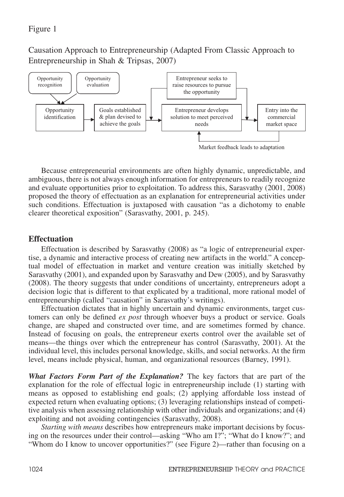Causation Approach to Entrepreneurship (Adapted From Classic Approach to Entrepreneurship in Shah & Tripsas, 2007)



Because entrepreneurial environments are often highly dynamic, unpredictable, and ambiguous, there is not always enough information for entrepreneurs to readily recognize and evaluate opportunities prior to exploitation. To address this, Sarasvathy (2001, 2008) proposed the theory of effectuation as an explanation for entrepreneurial activities under such conditions. Effectuation is juxtaposed with causation "as a dichotomy to enable clearer theoretical exposition" (Sarasvathy, 2001, p. 245).

# **Effectuation**

Effectuation is described by Sarasvathy (2008) as "a logic of entrepreneurial expertise, a dynamic and interactive process of creating new artifacts in the world." A conceptual model of effectuation in market and venture creation was initially sketched by Sarasvathy (2001), and expanded upon by Sarasvathy and Dew (2005), and by Sarasvathy (2008). The theory suggests that under conditions of uncertainty, entrepreneurs adopt a decision logic that is different to that explicated by a traditional, more rational model of entrepreneurship (called "causation" in Sarasvathy's writings).

Effectuation dictates that in highly uncertain and dynamic environments, target customers can only be defined *ex post* through whoever buys a product or service. Goals change, are shaped and constructed over time, and are sometimes formed by chance. Instead of focusing on goals, the entrepreneur exerts control over the available set of means—the things over which the entrepreneur has control (Sarasvathy, 2001). At the individual level, this includes personal knowledge, skills, and social networks. At the firm level, means include physical, human, and organizational resources (Barney, 1991).

*What Factors Form Part of the Explanation?* The key factors that are part of the explanation for the role of effectual logic in entrepreneurship include (1) starting with means as opposed to establishing end goals; (2) applying affordable loss instead of expected return when evaluating options; (3) leveraging relationships instead of competitive analysis when assessing relationship with other individuals and organizations; and (4) exploiting and not avoiding contingencies (Sarasvathy, 2008).

*Starting with means* describes how entrepreneurs make important decisions by focusing on the resources under their control—asking "Who am I?"; "What do I know?"; and "Whom do I know to uncover opportunities?" (see Figure 2)—rather than focusing on a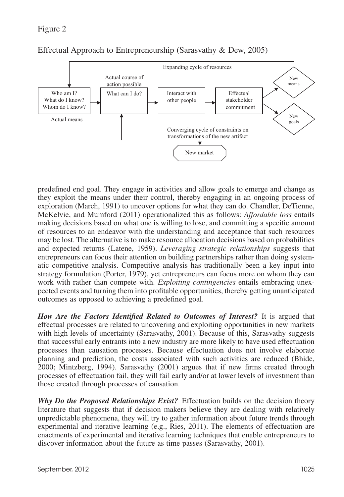# Figure 2



Effectual Approach to Entrepreneurship (Sarasvathy & Dew, 2005)

predefined end goal. They engage in activities and allow goals to emerge and change as they exploit the means under their control, thereby engaging in an ongoing process of exploration (March, 1991) to uncover options for what they can do. Chandler, DeTienne, McKelvie, and Mumford (2011) operationalized this as follows: *Affordable loss* entails making decisions based on what one is willing to lose, and committing a specific amount of resources to an endeavor with the understanding and acceptance that such resources may be lost. The alternative is to make resource allocation decisions based on probabilities and expected returns (Latene, 1959). *Leveraging strategic relationships* suggests that entrepreneurs can focus their attention on building partnerships rather than doing systematic competitive analysis. Competitive analysis has traditionally been a key input into strategy formulation (Porter, 1979), yet entrepreneurs can focus more on whom they can work with rather than compete with. *Exploiting contingencies* entails embracing unexpected events and turning them into profitable opportunities, thereby getting unanticipated outcomes as opposed to achieving a predefined goal.

*How Are the Factors Identified Related to Outcomes of Interest?* It is argued that effectual processes are related to uncovering and exploiting opportunities in new markets with high levels of uncertainty (Sarasvathy, 2001). Because of this, Sarasvathy suggests that successful early entrants into a new industry are more likely to have used effectuation processes than causation processes. Because effectuation does not involve elaborate planning and prediction, the costs associated with such activities are reduced (Bhide, 2000; Mintzberg, 1994). Sarasvathy (2001) argues that if new firms created through processes of effectuation fail, they will fail early and/or at lower levels of investment than those created through processes of causation.

*Why Do the Proposed Relationships Exist?* Effectuation builds on the decision theory literature that suggests that if decision makers believe they are dealing with relatively unpredictable phenomena, they will try to gather information about future trends through experimental and iterative learning (e.g., Ries, 2011). The elements of effectuation are enactments of experimental and iterative learning techniques that enable entrepreneurs to discover information about the future as time passes (Sarasvathy, 2001).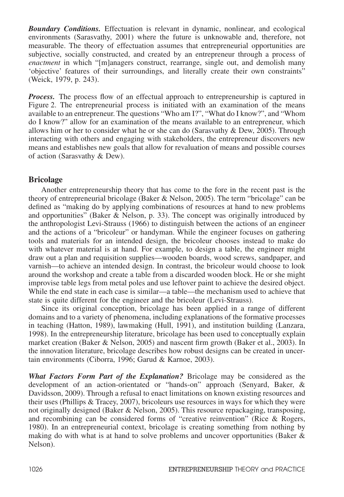*Boundary Conditions.* Effectuation is relevant in dynamic, nonlinear, and ecological environments (Sarasvathy, 2001) where the future is unknowable and, therefore, not measurable. The theory of effectuation assumes that entrepreneurial opportunities are subjective, socially constructed, and created by an entrepreneur through a process of *enactment* in which "[m]anagers construct, rearrange, single out, and demolish many 'objective' features of their surroundings, and literally create their own constraints" (Weick, 1979, p. 243).

*Process.* The process flow of an effectual approach to entrepreneurship is captured in Figure 2. The entrepreneurial process is initiated with an examination of the means available to an entrepreneur. The questions "Who am I?", "What do I know?", and "Whom do I know?" allow for an examination of the means available to an entrepreneur, which allows him or her to consider what he or she can do (Sarasvathy  $&$  Dew, 2005). Through interacting with others and engaging with stakeholders, the entrepreneur discovers new means and establishes new goals that allow for revaluation of means and possible courses of action (Sarasvathy & Dew).

# **Bricolage**

Another entrepreneurship theory that has come to the fore in the recent past is the theory of entrepreneurial bricolage (Baker & Nelson, 2005). The term "bricolage" can be defined as "making do by applying combinations of resources at hand to new problems and opportunities" (Baker & Nelson, p. 33). The concept was originally introduced by the anthropologist Levi-Strauss (1966) to distinguish between the actions of an engineer and the actions of a "bricoleur" or handyman. While the engineer focuses on gathering tools and materials for an intended design, the bricoleur chooses instead to make do with whatever material is at hand. For example, to design a table, the engineer might draw out a plan and requisition supplies—wooden boards, wood screws, sandpaper, and varnish—to achieve an intended design. In contrast, the bricoleur would choose to look around the workshop and create a table from a discarded wooden block. He or she might improvise table legs from metal poles and use leftover paint to achieve the desired object. While the end state in each case is similar—a table—the mechanism used to achieve that state is quite different for the engineer and the bricoleur (Levi-Strauss).

Since its original conception, bricolage has been applied in a range of different domains and to a variety of phenomena, including explanations of the formative processes in teaching (Hatton, 1989), lawmaking (Hull, 1991), and institution building (Lanzara, 1998). In the entrepreneurship literature, bricolage has been used to conceptually explain market creation (Baker & Nelson, 2005) and nascent firm growth (Baker et al., 2003). In the innovation literature, bricolage describes how robust designs can be created in uncertain environments (Ciborra, 1996; Garud & Karnoe, 2003).

*What Factors Form Part of the Explanation?* Bricolage may be considered as the development of an action-orientated or "hands-on" approach (Senyard, Baker, & Davidsson, 2009). Through a refusal to enact limitations on known existing resources and their uses (Phillips & Tracey, 2007), bricoleurs use resources in ways for which they were not originally designed (Baker & Nelson, 2005). This resource repackaging, transposing, and recombining can be considered forms of "creative reinvention" (Rice & Rogers, 1980). In an entrepreneurial context, bricolage is creating something from nothing by making do with what is at hand to solve problems and uncover opportunities (Baker  $\&$ Nelson).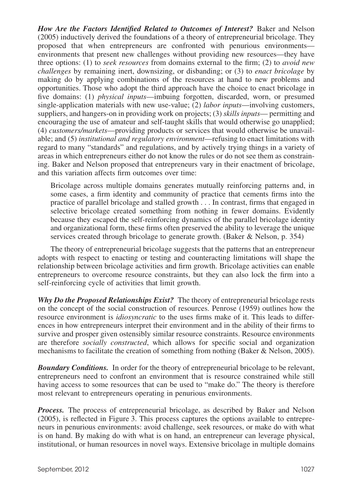*How Are the Factors Identified Related to Outcomes of Interest?* Baker and Nelson (2005) inductively derived the foundations of a theory of entrepreneurial bricolage. They proposed that when entrepreneurs are confronted with penurious environments environments that present new challenges without providing new resources—they have three options: (1) to *seek resources* from domains external to the firm; (2) to *avoid new challenges* by remaining inert, downsizing, or disbanding; or (3) to *enact bricolage* by making do by applying combinations of the resources at hand to new problems and opportunities. Those who adopt the third approach have the choice to enact bricolage in five domains: (1) *physical inputs*—imbuing forgotten, discarded, worn, or presumed single-application materials with new use-value; (2) *labor inputs*—involving customers, suppliers, and hangers-on in providing work on projects; (3) *skills inputs*— permitting and encouraging the use of amateur and self-taught skills that would otherwise go unapplied; (4) *customers/markets*—providing products or services that would otherwise be unavailable; and (5) *institutional and regulatory environment*—refusing to enact limitations with regard to many "standards" and regulations, and by actively trying things in a variety of areas in which entrepreneurs either do not know the rules or do not see them as constraining. Baker and Nelson proposed that entrepreneurs vary in their enactment of bricolage, and this variation affects firm outcomes over time:

Bricolage across multiple domains generates mutually reinforcing patterns and, in some cases, a firm identity and community of practice that cements firms into the practice of parallel bricolage and stalled growth . . . In contrast, firms that engaged in selective bricolage created something from nothing in fewer domains. Evidently because they escaped the self-reinforcing dynamics of the parallel bricolage identity and organizational form, these firms often preserved the ability to leverage the unique services created through bricolage to generate growth. (Baker & Nelson, p. 354)

The theory of entrepreneurial bricolage suggests that the patterns that an entrepreneur adopts with respect to enacting or testing and counteracting limitations will shape the relationship between bricolage activities and firm growth. Bricolage activities can enable entrepreneurs to overcome resource constraints, but they can also lock the firm into a self-reinforcing cycle of activities that limit growth.

*Why Do the Proposed Relationships Exist?* The theory of entrepreneurial bricolage rests on the concept of the social construction of resources. Penrose (1959) outlines how the resource environment is *idiosyncratic* to the uses firms make of it. This leads to differences in how entrepreneurs interpret their environment and in the ability of their firms to survive and prosper given ostensibly similar resource constraints. Resource environments are therefore *socially constructed*, which allows for specific social and organization mechanisms to facilitate the creation of something from nothing (Baker & Nelson, 2005).

*Boundary Conditions.* In order for the theory of entrepreneurial bricolage to be relevant, entrepreneurs need to confront an environment that is resource constrained while still having access to some resources that can be used to "make do." The theory is therefore most relevant to entrepreneurs operating in penurious environments.

*Process.* The process of entrepreneurial bricolage, as described by Baker and Nelson (2005), is reflected in Figure 3. This process captures the options available to entrepreneurs in penurious environments: avoid challenge, seek resources, or make do with what is on hand. By making do with what is on hand, an entrepreneur can leverage physical, institutional, or human resources in novel ways. Extensive bricolage in multiple domains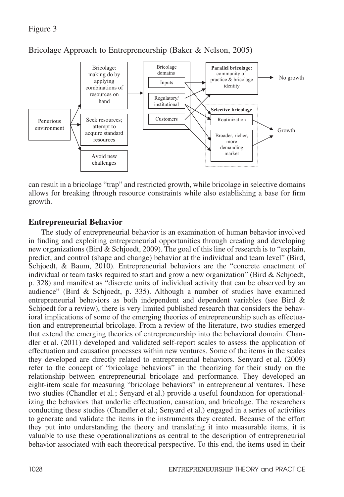

Bricolage Approach to Entrepreneurship (Baker & Nelson, 2005)

can result in a bricolage "trap" and restricted growth, while bricolage in selective domains allows for breaking through resource constraints while also establishing a base for firm growth.

# **Entrepreneurial Behavior**

The study of entrepreneurial behavior is an examination of human behavior involved in finding and exploiting entrepreneurial opportunities through creating and developing new organizations (Bird & Schjoedt, 2009). The goal of this line of research is to "explain, predict, and control (shape and change) behavior at the individual and team level" (Bird, Schjoedt, & Baum, 2010). Entrepreneurial behaviors are the "concrete enactment of individual or team tasks required to start and grow a new organization" (Bird & Schjoedt, p. 328) and manifest as "discrete units of individual activity that can be observed by an audience" (Bird & Schjoedt, p. 335). Although a number of studies have examined entrepreneurial behaviors as both independent and dependent variables (see Bird & Schjoedt for a review), there is very limited published research that considers the behavioral implications of some of the emerging theories of entrepreneurship such as effectuation and entrepreneurial bricolage. From a review of the literature, two studies emerged that extend the emerging theories of entrepreneurship into the behavioral domain. Chandler et al. (2011) developed and validated self-report scales to assess the application of effectuation and causation processes within new ventures. Some of the items in the scales they developed are directly related to entrepreneurial behaviors. Senyard et al. (2009) refer to the concept of "bricolage behaviors" in the theorizing for their study on the relationship between entrepreneurial bricolage and performance. They developed an eight-item scale for measuring "bricolage behaviors" in entrepreneurial ventures. These two studies (Chandler et al.; Senyard et al.) provide a useful foundation for operationalizing the behaviors that underlie effectuation, causation, and bricolage. The researchers conducting these studies (Chandler et al.; Senyard et al.) engaged in a series of activities to generate and validate the items in the instruments they created. Because of the effort they put into understanding the theory and translating it into measurable items, it is valuable to use these operationalizations as central to the description of entrepreneurial behavior associated with each theoretical perspective. To this end, the items used in their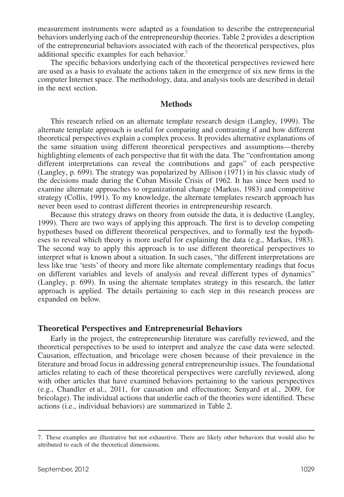measurement instruments were adapted as a foundation to describe the entrepreneurial behaviors underlying each of the entrepreneurship theories. Table 2 provides a description of the entrepreneurial behaviors associated with each of the theoretical perspectives, plus additional specific examples for each behavior.<sup>7</sup>

The specific behaviors underlying each of the theoretical perspectives reviewed here are used as a basis to evaluate the actions taken in the emergence of six new firms in the computer Internet space. The methodology, data, and analysis tools are described in detail in the next section.

## **Methods**

This research relied on an alternate template research design (Langley, 1999). The alternate template approach is useful for comparing and contrasting if and how different theoretical perspectives explain a complex process. It provides alternative explanations of the same situation using different theoretical perspectives and assumptions—thereby highlighting elements of each perspective that fit with the data. The "confrontation among different interpretations can reveal the contributions and gaps" of each perspective (Langley, p. 699). The strategy was popularized by Allison (1971) in his classic study of the decisions made during the Cuban Missile Crisis of 1962. It has since been used to examine alternate approaches to organizational change (Markus, 1983) and competitive strategy (Collis, 1991). To my knowledge, the alternate templates research approach has never been used to contrast different theories in entrepreneurship research.

Because this strategy draws on theory from outside the data, it is deductive (Langley, 1999). There are two ways of applying this approach. The first is to develop competing hypotheses based on different theoretical perspectives, and to formally test the hypotheses to reveal which theory is more useful for explaining the data (e.g., Markus, 1983). The second way to apply this approach is to use different theoretical perspectives to interpret what is known about a situation. In such cases, "the different interpretations are less like true 'tests' of theory and more like alternate complementary readings that focus on different variables and levels of analysis and reveal different types of dynamics" (Langley, p. 699). In using the alternate templates strategy in this research, the latter approach is applied. The details pertaining to each step in this research process are expanded on below.

### **Theoretical Perspectives and Entrepreneurial Behaviors**

Early in the project, the entrepreneurship literature was carefully reviewed, and the theoretical perspectives to be used to interpret and analyze the case data were selected. Causation, effectuation, and bricolage were chosen because of their prevalence in the literature and broad focus in addressing general entrepreneurship issues. The foundational articles relating to each of these theoretical perspectives were carefully reviewed, along with other articles that have examined behaviors pertaining to the various perspectives (e.g., Chandler et al., 2011, for causation and effectuation; Senyard et al., 2009, for bricolage). The individual actions that underlie each of the theories were identified. These actions (i.e., individual behaviors) are summarized in Table 2.

<sup>7.</sup> These examples are illustrative but not exhaustive. There are likely other behaviors that would also be attributed to each of the theoretical dimensions.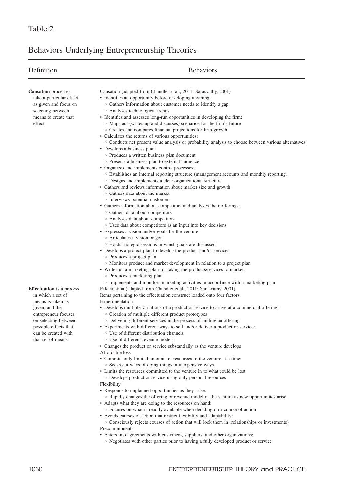# Behaviors Underlying Entrepreneurship Theories

| Definition                                                                                                                                                                                                         | <b>Behaviors</b>                                                                                                                                                                                                                                                                                                                                                                                                                                                                                                                                                                                                                                                                                                                                                                                                                                                                                                                                                                                                                                                                                                                                                                                                                                                                                                                                                                                                                                                                                                                                                                                                                                                                                                                                                                                                                     |
|--------------------------------------------------------------------------------------------------------------------------------------------------------------------------------------------------------------------|--------------------------------------------------------------------------------------------------------------------------------------------------------------------------------------------------------------------------------------------------------------------------------------------------------------------------------------------------------------------------------------------------------------------------------------------------------------------------------------------------------------------------------------------------------------------------------------------------------------------------------------------------------------------------------------------------------------------------------------------------------------------------------------------------------------------------------------------------------------------------------------------------------------------------------------------------------------------------------------------------------------------------------------------------------------------------------------------------------------------------------------------------------------------------------------------------------------------------------------------------------------------------------------------------------------------------------------------------------------------------------------------------------------------------------------------------------------------------------------------------------------------------------------------------------------------------------------------------------------------------------------------------------------------------------------------------------------------------------------------------------------------------------------------------------------------------------------|
| <b>Causation</b> processes<br>take a particular effect<br>as given and focus on<br>selecting between<br>means to create that<br>effect                                                                             | Causation (adapted from Chandler et al., 2011; Sarasvathy, 2001)<br>• Identifies an opportunity before developing anything:<br>• Gathers information about customer needs to identify a gap<br>○ Analyzes technological trends<br>• Identifies and assesses long-run opportunities in developing the firm:<br>• Maps out (writes up and discusses) scenarios for the firm's future<br>• Creates and compares financial projections for firm growth<br>• Calculates the returns of various opportunities:<br>• Conducts net present value analysis or probability analysis to choose between various alternatives<br>• Develops a business plan:<br>• Produces a written business plan document<br>• Presents a business plan to external audience<br>• Organizes and implements control processes:<br><b>Establishes an internal reporting structure (management accounts and monthly reporting)</b><br>• Designs and implements a clear organizational structure<br>• Gathers and reviews information about market size and growth:<br>• Gathers data about the market<br>• Interviews potential customers<br>• Gathers information about competitors and analyzes their offerings:<br><sup>o</sup> Gathers data about competitors<br>• Analyzes data about competitors<br>• Uses data about competitors as an input into key decisions<br>• Expresses a vision and/or goals for the venture:<br>• Articulates a vision or goal<br>• Holds strategic sessions in which goals are discussed<br>• Develops a project plan to develop the product and/or services:<br>• Produces a project plan<br>• Monitors product and market development in relation to a project plan                                                                                                                                                             |
| <b>Effectuation</b> is a process<br>in which a set of<br>means is taken as<br>given, and the<br>entrepreneur focuses<br>on selecting between<br>possible effects that<br>can be created with<br>that set of means. | • Writes up a marketing plan for taking the products/services to market:<br>• Produces a marketing plan<br>○ Implements and monitors marketing activities in accordance with a marketing plan<br>Effectuation (adapted from Chandler et al., 2011; Sarasvathy, 2001)<br>Items pertaining to the effectuation construct loaded onto four factors:<br>Experimentation<br>• Develops multiple variations of a product or service to arrive at a commercial offering:<br>• Creation of multiple different product prototypes<br>• Delivering different services in the process of finding an offering<br>• Experiments with different ways to sell and/or deliver a product or service:<br>• Use of different distribution channels<br>• Use of different revenue models<br>• Changes the product or service substantially as the venture develops<br>Affordable loss<br>• Commits only limited amounts of resources to the venture at a time:<br>• Seeks out ways of doing things in inexpensive ways<br>• Limits the resources committed to the venture in to what could be lost:<br><b>Develops product or service using only personal resources</b><br>Flexibility<br>• Responds to unplanned opportunities as they arise:<br>• Rapidly changes the offering or revenue model of the venture as new opportunities arise<br>• Adapts what they are doing to the resources on hand:<br>• Focuses on what is readily available when deciding on a course of action<br>• Avoids courses of action that restrict flexibility and adaptability:<br>• Consciously rejects courses of action that will lock them in (relationships or investments)<br>Precommitments<br>• Enters into agreements with customers, suppliers, and other organizations:<br>• Negotiates with other parties prior to having a fully developed product or service |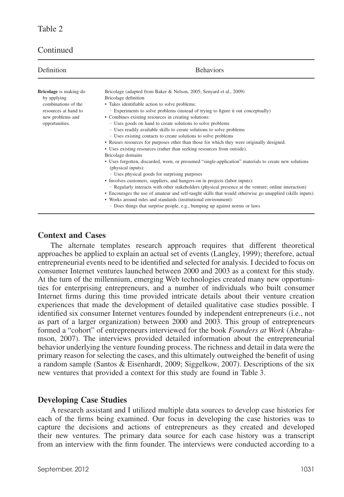# **Continued**

| Definition                                                                                                                        | <b>Behaviors</b>                                                                                                                                                                                                                                                                                                                                                                                                                                                                                                                                                                                                                                                                                                                                                                                                                                                                                                                                                                                                                                                                                                                                                                                                                                                                                                                    |
|-----------------------------------------------------------------------------------------------------------------------------------|-------------------------------------------------------------------------------------------------------------------------------------------------------------------------------------------------------------------------------------------------------------------------------------------------------------------------------------------------------------------------------------------------------------------------------------------------------------------------------------------------------------------------------------------------------------------------------------------------------------------------------------------------------------------------------------------------------------------------------------------------------------------------------------------------------------------------------------------------------------------------------------------------------------------------------------------------------------------------------------------------------------------------------------------------------------------------------------------------------------------------------------------------------------------------------------------------------------------------------------------------------------------------------------------------------------------------------------|
| <b>Bricolage</b> is making do<br>by applying<br>combinations of the<br>resources at hand to<br>new problems and<br>opportunities. | Bricolage (adapted from Baker & Nelson, 2005; Senyard et al., 2009)<br>Bricolage definition<br>• Takes identifiable action to solve problems:<br>Experiments to solve problems (instead of trying to figure it out conceptually)<br>• Combines existing resources in creating solutions:<br>• Uses goods on hand to create solutions to solve problems<br>• Uses readily available skills to create solutions to solve problems<br>• Uses existing contacts to create solutions to solve problems<br>• Reuses resources for purposes other than those for which they were originally designed.<br>• Uses existing resources (rather than seeking resources from outside).<br>Bricolage domains<br>• Uses forgotten, discarded, worn, or presumed "single-application" materials to create new solutions<br>(physical inputs):<br>• Uses physical goods for surprising purposes<br>• Involves customers, suppliers, and hangers-on in projects (labor inputs):<br>• Regularly interacts with other stakeholders (physical presence at the venture; online interaction)<br>• Encourages the use of amateur and self-taught skills that would otherwise go unapplied (skills inputs).<br>• Works around rules and standards (institutional environment):<br>• Does things that surprise people, e.g., bumping up against norms or laws |

### **Context and Cases**

The alternate templates research approach requires that different theoretical approaches be applied to explain an actual set of events (Langley, 1999); therefore, actual entrepreneurial events need to be identified and selected for analysis. I decided to focus on consumer Internet ventures launched between 2000 and 2003 as a context for this study. At the turn of the millennium, emerging Web technologies created many new opportunities for enterprising entrepreneurs, and a number of individuals who built consumer Internet firms during this time provided intricate details about their venture creation experiences that made the development of detailed qualitative case studies possible. I identified six consumer Internet ventures founded by independent entrepreneurs (i.e., not as part of a larger organization) between 2000 and 2003. This group of entrepreneurs formed a "cohort" of entrepreneurs interviewed for the book *Founders at Work* (Abrahamson, 2007). The interviews provided detailed information about the entrepreneurial behavior underlying the venture founding process. The richness and detail in data were the primary reason for selecting the cases, and this ultimately outweighed the benefit of using a random sample (Santos & Eisenhardt, 2009; Siggelkow, 2007). Descriptions of the six new ventures that provided a context for this study are found in Table 3.

## **Developing Case Studies**

A research assistant and I utilized multiple data sources to develop case histories for each of the firms being examined. Our focus in developing the case histories was to capture the decisions and actions of entrepreneurs as they created and developed their new ventures. The primary data source for each case history was a transcript from an interview with the firm founder. The interviews were conducted according to a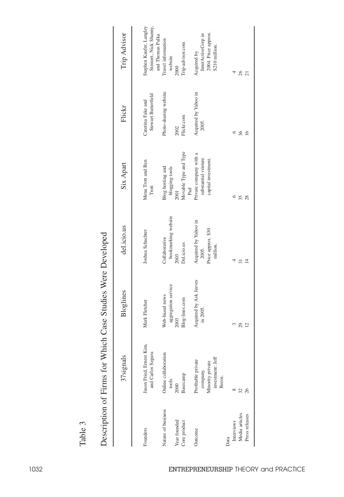Table 3

| j<br>Ì<br>i<br>$5 - 5$<br>)<br>}<br>}<br>$\frac{1}{2}$<br>$\frac{1}{2}$<br>$\zeta$<br>,,,,,,,,<br>l<br>ļ<br>キッチング<br>ĺ<br>i<br>;<br>intion o<br>I<br>۱,<br>ļ | こくしつ しょう<br>ı<br>ļ |
|--------------------------------------------------------------------------------------------------------------------------------------------------------------|--------------------|
|                                                                                                                                                              |                    |
|                                                                                                                                                              |                    |
|                                                                                                                                                              |                    |
|                                                                                                                                                              |                    |
|                                                                                                                                                              |                    |
|                                                                                                                                                              |                    |
|                                                                                                                                                              |                    |
|                                                                                                                                                              |                    |

|                              | 37signals                                                                                                              | Bloglines                             | del.icio.us                                                     | Six Apart                                                            | Flickr                                   | Trip Advisor                                                               |
|------------------------------|------------------------------------------------------------------------------------------------------------------------|---------------------------------------|-----------------------------------------------------------------|----------------------------------------------------------------------|------------------------------------------|----------------------------------------------------------------------------|
| Founders                     | Jason Fried, Ernest Kim,<br>and Carlos Segura                                                                          | Mark Fletcher                         | Joshua Schachter                                                | Mena Trott and Ben<br>Trott                                          | Stewart Butterfield<br>Caterina Fake and | Stephen Kaufer, Langley<br>Steinert, Nick Shanny,                          |
| Nature of business           | Online collaboration<br>tools                                                                                          | aggregation service<br>Web-based news | bookmarking website<br>Collaborative                            | Blog hosting and<br>blogging tools                                   | Photo-sharing website                    | and Thomas Palka<br>Travel information<br>website                          |
| Year founded<br>Core product | Basecamp<br>2000                                                                                                       | Blog-lines.com                        | Del.icio.us<br>2003                                             | Movable Type and Type<br>$_{\rm Pad}$<br>2001                        | Flickr.com<br>2002                       | Trip-advisor.com<br>2000                                                   |
| Outcome                      | investment: $\mathbf{J}\mathbf{e}\mathbf{f}\mathbf{f}$<br>Profitable private<br>Minority private<br>company.<br>Bezos. | Acquired by Ask Jeeves<br>in 2005.    | Acquired by Yahoo in<br>Price approx. \$30<br>million.<br>2005. | Private company with a<br>substantial venture<br>capital investment. | Acquired by Yahoo in<br>2005.            | 2004. Price approx.<br>InterActiveCorp in<br>\$210 million.<br>Acquired by |
| Data                         |                                                                                                                        |                                       |                                                                 |                                                                      |                                          |                                                                            |
| Interviews                   |                                                                                                                        |                                       |                                                                 |                                                                      |                                          |                                                                            |
| Media articles               |                                                                                                                        | 29                                    |                                                                 | 35                                                                   | 36                                       | 26                                                                         |
| Press releases               | 26                                                                                                                     |                                       | ᅼ                                                               | 28                                                                   | ≌                                        |                                                                            |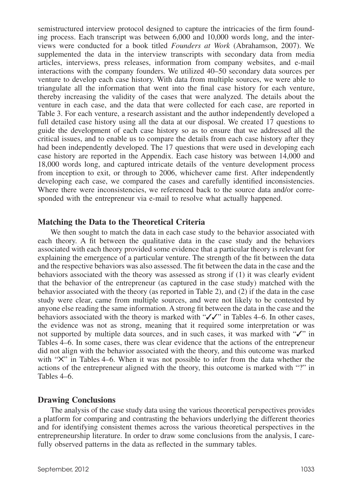semistructured interview protocol designed to capture the intricacies of the firm founding process. Each transcript was between 6,000 and 10,000 words long, and the interviews were conducted for a book titled *Founders at Work* (Abrahamson, 2007). We supplemented the data in the interview transcripts with secondary data from media articles, interviews, press releases, information from company websites, and e-mail interactions with the company founders. We utilized 40–50 secondary data sources per venture to develop each case history. With data from multiple sources, we were able to triangulate all the information that went into the final case history for each venture, thereby increasing the validity of the cases that were analyzed. The details about the venture in each case, and the data that were collected for each case, are reported in Table 3. For each venture, a research assistant and the author independently developed a full detailed case history using all the data at our disposal. We created 17 questions to guide the development of each case history so as to ensure that we addressed all the critical issues, and to enable us to compare the details from each case history after they had been independently developed. The 17 questions that were used in developing each case history are reported in the Appendix. Each case history was between 14,000 and 18,000 words long, and captured intricate details of the venture development process from inception to exit, or through to 2006, whichever came first. After independently developing each case, we compared the cases and carefully identified inconsistencies. Where there were inconsistencies, we referenced back to the source data and/or corresponded with the entrepreneur via e-mail to resolve what actually happened.

### **Matching the Data to the Theoretical Criteria**

We then sought to match the data in each case study to the behavior associated with each theory. A fit between the qualitative data in the case study and the behaviors associated with each theory provided some evidence that a particular theory is relevant for explaining the emergence of a particular venture. The strength of the fit between the data and the respective behaviors was also assessed. The fit between the data in the case and the behaviors associated with the theory was assessed as strong if (1) it was clearly evident that the behavior of the entrepreneur (as captured in the case study) matched with the behavior associated with the theory (as reported in Table 2), and (2) if the data in the case study were clear, came from multiple sources, and were not likely to be contested by anyone else reading the same information. A strong fit between the data in the case and the behaviors associated with the theory is marked with "✓✓" in Tables 4–6. In other cases, the evidence was not as strong, meaning that it required some interpretation or was not supported by multiple data sources, and in such cases, it was marked with "✓" in Tables 4–6. In some cases, there was clear evidence that the actions of the entrepreneur did not align with the behavior associated with the theory, and this outcome was marked with " $\times$ " in Tables 4–6. When it was not possible to infer from the data whether the actions of the entrepreneur aligned with the theory, this outcome is marked with "?" in Tables 4–6.

#### **Drawing Conclusions**

The analysis of the case study data using the various theoretical perspectives provides a platform for comparing and contrasting the behaviors underlying the different theories and for identifying consistent themes across the various theoretical perspectives in the entrepreneurship literature. In order to draw some conclusions from the analysis, I carefully observed patterns in the data as reflected in the summary tables.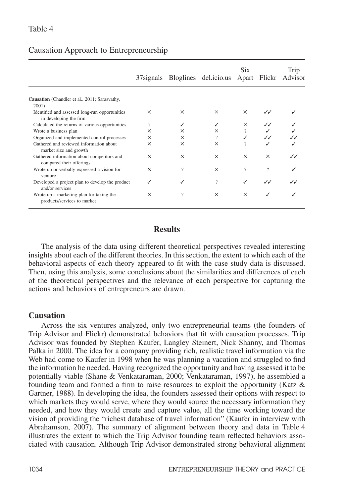|                                                                          |              |                          | 37 signals Bloglines del.icio.us | <b>Six</b><br>Apart      | Flickr       | Trip<br>Advisor |
|--------------------------------------------------------------------------|--------------|--------------------------|----------------------------------|--------------------------|--------------|-----------------|
|                                                                          |              |                          |                                  |                          |              |                 |
| Causation (Chandler et al., 2011; Sarasvathy,                            |              |                          |                                  |                          |              |                 |
| 2001)                                                                    |              |                          |                                  |                          |              |                 |
| Identified and assessed long-run opportunities<br>in developing the firm | $\times$     | $\times$                 | $\times$                         | $\times$                 | $\checkmark$ |                 |
| Calculated the returns of various opportunities                          | ?            |                          |                                  | $\times$                 | ✓✓           |                 |
| Wrote a business plan                                                    | $\times$     | $\times$                 | $\times$                         | $\overline{\mathcal{C}}$ |              |                 |
| Organized and implemented control processes                              | $\times$     | $\times$                 |                                  | ✓                        | ✓✓           |                 |
| Gathered and reviewed information about<br>market size and growth        | $\times$     | $\times$                 | X                                | $\overline{\cdot}$       |              |                 |
| Gathered information about competitors and<br>compared their offerings   | $\times$     | $\times$                 | X                                | $\times$                 | $\times$     | IJ              |
| Wrote up or verbally expressed a vision for<br>venture                   | $\times$     | $\gamma$                 | $\times$                         | $\gamma$                 | $\gamma$     |                 |
| Developed a project plan to develop the product<br>and/or services       | $\checkmark$ | ✓                        | ?                                | ℐ                        | $\checkmark$ |                 |
| Wrote up a marketing plan for taking the<br>products/services to market  | ×            | $\overline{\phantom{a}}$ | ×                                | $\times$                 |              |                 |

# Causation Approach to Entrepreneurship

# **Results**

The analysis of the data using different theoretical perspectives revealed interesting insights about each of the different theories. In this section, the extent to which each of the behavioral aspects of each theory appeared to fit with the case study data is discussed. Then, using this analysis, some conclusions about the similarities and differences of each of the theoretical perspectives and the relevance of each perspective for capturing the actions and behaviors of entrepreneurs are drawn.

# **Causation**

Across the six ventures analyzed, only two entrepreneurial teams (the founders of Trip Advisor and Flickr) demonstrated behaviors that fit with causation processes. Trip Advisor was founded by Stephen Kaufer, Langley Steinert, Nick Shanny, and Thomas Palka in 2000. The idea for a company providing rich, realistic travel information via the Web had come to Kaufer in 1998 when he was planning a vacation and struggled to find the information he needed. Having recognized the opportunity and having assessed it to be potentially viable (Shane & Venkataraman, 2000; Venkataraman, 1997), he assembled a founding team and formed a firm to raise resources to exploit the opportunity (Katz  $\&$ Gartner, 1988). In developing the idea, the founders assessed their options with respect to which markets they would serve, where they would source the necessary information they needed, and how they would create and capture value, all the time working toward the vision of providing the "richest database of travel information" (Kaufer in interview with Abrahamson, 2007). The summary of alignment between theory and data in Table 4 illustrates the extent to which the Trip Advisor founding team reflected behaviors associated with causation. Although Trip Advisor demonstrated strong behavioral alignment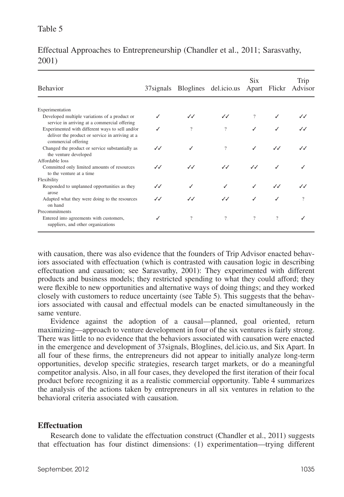# Table 5

| <b>Behavior</b>                                                                                                           |     |              | 37 signals Bloglines del.icio.us Apart Flickr | <b>Six</b>         |          | Trip<br>Advisor |
|---------------------------------------------------------------------------------------------------------------------------|-----|--------------|-----------------------------------------------|--------------------|----------|-----------------|
|                                                                                                                           |     |              |                                               |                    |          |                 |
| Experimentation<br>Developed multiple variations of a product or<br>service in arriving at a commercial offering          |     | $\checkmark$ | $\checkmark$                                  | $\overline{\cdot}$ |          | IJ              |
| Experimented with different ways to sell and/or<br>deliver the product or service in arriving at a<br>commercial offering | ℐ   | $\gamma$     | $\gamma$                                      | ✓                  | ✓        | JJ              |
| Changed the product or service substantially as<br>the venture developed                                                  | IJ  | ✓            | $\gamma$                                      | ✓                  | IJ       | IJ              |
| Affordable loss                                                                                                           |     |              |                                               |                    |          |                 |
| Committed only limited amounts of resources<br>to the venture at a time                                                   | J J | $\checkmark$ | IJ                                            | $\checkmark$       | ✓        |                 |
| Flexibility                                                                                                               |     |              |                                               |                    |          |                 |
| Responded to unplanned opportunities as they<br>arose                                                                     | IJ  | ✓            | ✓                                             | $\checkmark$       | ノノ       | IJ              |
| Adapted what they were doing to the resources<br>on hand                                                                  | IJ  | ✓✓           | ノノ                                            | ✓                  | ✓        | 9               |
| Precommitments                                                                                                            |     |              |                                               |                    |          |                 |
| Entered into agreements with customers,<br>suppliers, and other organizations                                             | ✓   | 9            | $\gamma$                                      | $\gamma$           | $\gamma$ |                 |

Effectual Approaches to Entrepreneurship (Chandler et al., 2011; Sarasvathy, 2001)

with causation, there was also evidence that the founders of Trip Advisor enacted behaviors associated with effectuation (which is contrasted with causation logic in describing effectuation and causation; see Sarasvathy, 2001): They experimented with different products and business models; they restricted spending to what they could afford; they were flexible to new opportunities and alternative ways of doing things; and they worked closely with customers to reduce uncertainty (see Table 5). This suggests that the behaviors associated with causal and effectual models can be enacted simultaneously in the same venture.

Evidence against the adoption of a causal—planned, goal oriented, return maximizing—approach to venture development in four of the six ventures is fairly strong. There was little to no evidence that the behaviors associated with causation were enacted in the emergence and development of 37signals, Bloglines, del.icio.us, and Six Apart. In all four of these firms, the entrepreneurs did not appear to initially analyze long-term opportunities, develop specific strategies, research target markets, or do a meaningful competitor analysis. Also, in all four cases, they developed the first iteration of their focal product before recognizing it as a realistic commercial opportunity. Table 4 summarizes the analysis of the actions taken by entrepreneurs in all six ventures in relation to the behavioral criteria associated with causation.

## **Effectuation**

Research done to validate the effectuation construct (Chandler et al., 2011) suggests that effectuation has four distinct dimensions: (1) experimentation—trying different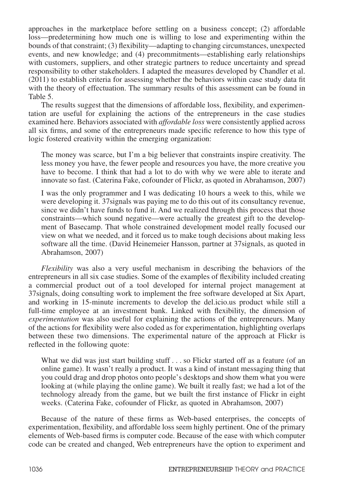approaches in the marketplace before settling on a business concept; (2) affordable loss—predetermining how much one is willing to lose and experimenting within the bounds of that constraint; (3) flexibility—adapting to changing circumstances, unexpected events, and new knowledge; and (4) precommitments—establishing early relationships with customers, suppliers, and other strategic partners to reduce uncertainty and spread responsibility to other stakeholders. I adapted the measures developed by Chandler et al. (2011) to establish criteria for assessing whether the behaviors within case study data fit with the theory of effectuation. The summary results of this assessment can be found in Table 5.

The results suggest that the dimensions of affordable loss, flexibility, and experimentation are useful for explaining the actions of the entrepreneurs in the case studies examined here. Behaviors associated with *affordable loss* were consistently applied across all six firms, and some of the entrepreneurs made specific reference to how this type of logic fostered creativity within the emerging organization:

The money was scarce, but I'm a big believer that constraints inspire creativity. The less money you have, the fewer people and resources you have, the more creative you have to become. I think that had a lot to do with why we were able to iterate and innovate so fast. (Caterina Fake, cofounder of Flickr, as quoted in Abrahamson, 2007)

I was the only programmer and I was dedicating 10 hours a week to this, while we were developing it. 37signals was paying me to do this out of its consultancy revenue, since we didn't have funds to fund it. And we realized through this process that those constraints—which sound negative—were actually the greatest gift to the development of Basecamp. That whole constrained development model really focused our view on what we needed, and it forced us to make tough decisions about making less software all the time. (David Heinemeier Hansson, partner at 37signals, as quoted in Abrahamson, 2007)

*Flexibility* was also a very useful mechanism in describing the behaviors of the entrepreneurs in all six case studies. Some of the examples of flexibility included creating a commercial product out of a tool developed for internal project management at 37signals, doing consulting work to implement the free software developed at Six Apart, and working in 15-minute increments to develop the del.icio.us product while still a full-time employee at an investment bank. Linked with flexibility, the dimension of *experimentation* was also useful for explaining the actions of the entrepreneurs. Many of the actions for flexibility were also coded as for experimentation, highlighting overlaps between these two dimensions. The experimental nature of the approach at Flickr is reflected in the following quote:

What we did was just start building stuff . . . so Flickr started off as a feature (of an online game). It wasn't really a product. It was a kind of instant messaging thing that you could drag and drop photos onto people's desktops and show them what you were looking at (while playing the online game). We built it really fast; we had a lot of the technology already from the game, but we built the first instance of Flickr in eight weeks. (Caterina Fake, cofounder of Flickr, as quoted in Abrahamson, 2007)

Because of the nature of these firms as Web-based enterprises, the concepts of experimentation, flexibility, and affordable loss seem highly pertinent. One of the primary elements of Web-based firms is computer code. Because of the ease with which computer code can be created and changed, Web entrepreneurs have the option to experiment and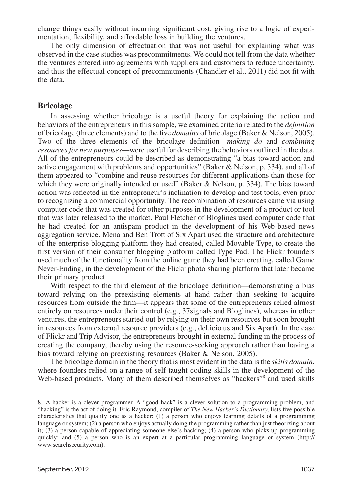change things easily without incurring significant cost, giving rise to a logic of experimentation, flexibility, and affordable loss in building the ventures.

The only dimension of effectuation that was not useful for explaining what was observed in the case studies was precommitments. We could not tell from the data whether the ventures entered into agreements with suppliers and customers to reduce uncertainty, and thus the effectual concept of precommitments (Chandler et al., 2011) did not fit with the data.

### **Bricolage**

In assessing whether bricolage is a useful theory for explaining the action and behaviors of the entrepreneurs in this sample, we examined criteria related to the *definition* of bricolage (three elements) and to the five *domains* of bricolage (Baker & Nelson, 2005). Two of the three elements of the bricolage definition—*making do* and *combining resources for new purposes*—were useful for describing the behaviors outlined in the data. All of the entrepreneurs could be described as demonstrating "a bias toward action and active engagement with problems and opportunities" (Baker & Nelson, p. 334), and all of them appeared to "combine and reuse resources for different applications than those for which they were originally intended or used" (Baker & Nelson, p. 334). The bias toward action was reflected in the entrepreneur's inclination to develop and test tools, even prior to recognizing a commercial opportunity. The recombination of resources came via using computer code that was created for other purposes in the development of a product or tool that was later released to the market. Paul Fletcher of Bloglines used computer code that he had created for an antispam product in the development of his Web-based news aggregation service. Mena and Ben Trott of Six Apart used the structure and architecture of the enterprise blogging platform they had created, called Movable Type, to create the first version of their consumer blogging platform called Type Pad. The Flickr founders used much of the functionality from the online game they had been creating, called Game Never-Ending, in the development of the Flickr photo sharing platform that later became their primary product.

With respect to the third element of the bricolage definition—demonstrating a bias toward relying on the preexisting elements at hand rather than seeking to acquire resources from outside the firm—it appears that some of the entrepreneurs relied almost entirely on resources under their control (e.g., 37signals and Bloglines), whereas in other ventures, the entrepreneurs started out by relying on their own resources but soon brought in resources from external resource providers (e.g., del.icio.us and Six Apart). In the case of Flickr and Trip Advisor, the entrepreneurs brought in external funding in the process of creating the company, thereby using the resource-seeking approach rather than having a bias toward relying on preexisting resources (Baker & Nelson, 2005).

The bricolage domain in the theory that is most evident in the data is the *skills domain*, where founders relied on a range of self-taught coding skills in the development of the Web-based products. Many of them described themselves as "hackers"<sup>8</sup> and used skills

<sup>8.</sup> A hacker is a clever programmer. A "good hack" is a clever solution to a programming problem, and "hacking" is the act of doing it. Eric Raymond, compiler of *The New Hacker's Dictionary*, lists five possible characteristics that qualify one as a hacker: (1) a person who enjoys learning details of a programming language or system; (2) a person who enjoys actually doing the programming rather than just theorizing about it; (3) a person capable of appreciating someone else's hacking; (4) a person who picks up programming quickly; and (5) a person who is an expert at a particular programming language or system (http:// www.searchsecurity.com).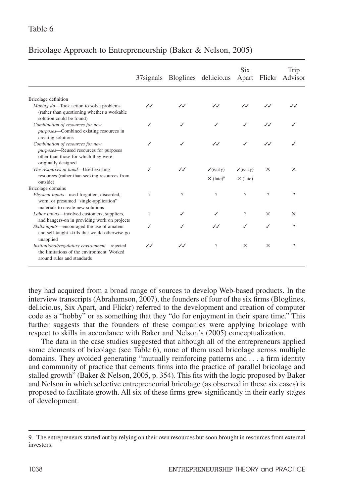|                                                                                                                                           |              |              | 37 signals Bloglines del.icio.us                     | Six.<br>Apart                           | Flickr   | Trip<br>Advisor |
|-------------------------------------------------------------------------------------------------------------------------------------------|--------------|--------------|------------------------------------------------------|-----------------------------------------|----------|-----------------|
| Bricolage definition                                                                                                                      |              |              |                                                      |                                         |          |                 |
| Making do-Took action to solve problems<br>(rather than questioning whether a workable<br>solution could be found)                        | $\checkmark$ | $\checkmark$ | ノノ                                                   | $\checkmark$                            | IJ       | J J             |
| Combination of resources for new<br><i>purposes</i> —Combined existing resources in<br>creating solutions                                 | ✓            | ✓            | ✓                                                    | ✓                                       | ノノ       |                 |
| Combination of resources for new<br>purposes-Reused resources for purposes<br>other than those for which they were<br>originally designed | ✓            | ✓            | JJ                                                   | ✓                                       | IJ       |                 |
| The resources at hand—Used existing<br>resources (rather than seeking resources from<br>outside)                                          | ✓            | $\checkmark$ | $\checkmark$ (early)<br>$\times$ (late) <sup>9</sup> | $\checkmark$ (early)<br>$\times$ (late) | $\times$ | $\times$        |
| Bricolage domains                                                                                                                         |              |              |                                                      |                                         |          |                 |
| Physical inputs—used forgotten, discarded,<br>worn, or presumed "single-application"<br>materials to create new solutions                 | ?            | $\gamma$     | $\gamma$                                             | $\gamma$                                | $\gamma$ | $\gamma$        |
| Labor inputs—involved customers, suppliers,<br>and hangers-on in providing work on projects                                               | ?            | ✓            | ✓                                                    | $\overline{\phantom{a}}$                | $\times$ | $\times$        |
| Skills inputs-encouraged the use of amateur<br>and self-taught skills that would otherwise go<br>unapplied                                | ✓            |              | IJ                                                   | ✓                                       | ✓        | $\gamma$        |
| Institutional/regulatory environment-rejected<br>the limitations of the environment. Worked<br>around rules and standards                 | IJ           | $\checkmark$ | $\overline{\phantom{a}}$                             | $\times$                                | $\times$ | $\gamma$        |

# Bricolage Approach to Entrepreneurship (Baker & Nelson, 2005)

they had acquired from a broad range of sources to develop Web-based products. In the interview transcripts (Abrahamson, 2007), the founders of four of the six firms (Bloglines, del.icio.us, Six Apart, and Flickr) referred to the development and creation of computer code as a "hobby" or as something that they "do for enjoyment in their spare time." This further suggests that the founders of these companies were applying bricolage with respect to skills in accordance with Baker and Nelson's (2005) conceptualization.

The data in the case studies suggested that although all of the entrepreneurs applied some elements of bricolage (see Table 6), none of them used bricolage across multiple domains. They avoided generating "mutually reinforcing patterns and . . . a firm identity and community of practice that cements firms into the practice of parallel bricolage and stalled growth" (Baker & Nelson, 2005, p. 354). This fits with the logic proposed by Baker and Nelson in which selective entrepreneurial bricolage (as observed in these six cases) is proposed to facilitate growth. All six of these firms grew significantly in their early stages of development.

<sup>9.</sup> The entrepreneurs started out by relying on their own resources but soon brought in resources from external investors.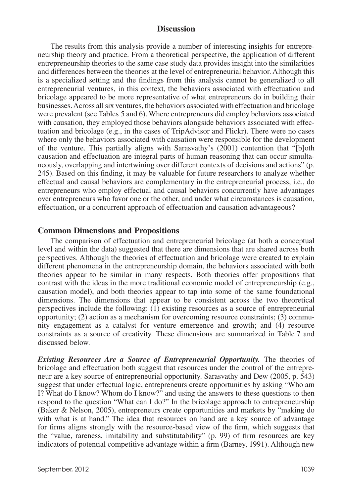### **Discussion**

The results from this analysis provide a number of interesting insights for entrepreneurship theory and practice. From a theoretical perspective, the application of different entrepreneurship theories to the same case study data provides insight into the similarities and differences between the theories at the level of entrepreneurial behavior. Although this is a specialized setting and the findings from this analysis cannot be generalized to all entrepreneurial ventures, in this context, the behaviors associated with effectuation and bricolage appeared to be more representative of what entrepreneurs do in building their businesses.Across all six ventures, the behaviors associated with effectuation and bricolage were prevalent (see Tables 5 and 6). Where entrepreneurs did employ behaviors associated with causation, they employed those behaviors alongside behaviors associated with effectuation and bricolage (e.g., in the cases of TripAdvisor and Flickr). There were no cases where only the behaviors associated with causation were responsible for the development of the venture. This partially aligns with Sarasvathy's (2001) contention that "[b]oth causation and effectuation are integral parts of human reasoning that can occur simultaneously, overlapping and intertwining over different contexts of decisions and actions" (p. 245). Based on this finding, it may be valuable for future researchers to analyze whether effectual and causal behaviors are complementary in the entrepreneurial process, i.e., do entrepreneurs who employ effectual and causal behaviors concurrently have advantages over entrepreneurs who favor one or the other, and under what circumstances is causation, effectuation, or a concurrent approach of effectuation and causation advantageous?

### **Common Dimensions and Propositions**

The comparison of effectuation and entrepreneurial bricolage (at both a conceptual level and within the data) suggested that there are dimensions that are shared across both perspectives. Although the theories of effectuation and bricolage were created to explain different phenomena in the entrepreneurship domain, the behaviors associated with both theories appear to be similar in many respects. Both theories offer propositions that contrast with the ideas in the more traditional economic model of entrepreneurship (e.g., causation model), and both theories appear to tap into some of the same foundational dimensions. The dimensions that appear to be consistent across the two theoretical perspectives include the following: (1) existing resources as a source of entrepreneurial opportunity; (2) action as a mechanism for overcoming resource constraints; (3) community engagement as a catalyst for venture emergence and growth; and (4) resource constraints as a source of creativity. These dimensions are summarized in Table 7 and discussed below.

*Existing Resources Are a Source of Entrepreneurial Opportunity.* The theories of bricolage and effectuation both suggest that resources under the control of the entrepreneur are a key source of entrepreneurial opportunity. Sarasvathy and Dew (2005, p. 543) suggest that under effectual logic, entrepreneurs create opportunities by asking "Who am I? What do I know? Whom do I know?" and using the answers to these questions to then respond to the question "What can I do?" In the bricolage approach to entrepreneurship (Baker & Nelson, 2005), entrepreneurs create opportunities and markets by "making do with what is at hand." The idea that resources on hand are a key source of advantage for firms aligns strongly with the resource-based view of the firm, which suggests that the "value, rareness, imitability and substitutability" (p. 99) of firm resources are key indicators of potential competitive advantage within a firm (Barney, 1991). Although new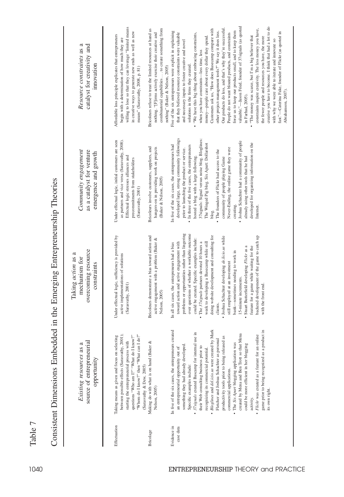|                                                                          | Resource constraints as a<br>catalyst for creativity and<br>innovation    | willing to lose so that they can leverage "limited means<br>in creative ways to generate new ends as well as new<br>Affordable loss principle explicates that entrepreneurs<br>begin with a determination of how much they are<br>means" (Sarasvathy, 2008, p. 81) | combinatorial capabilities to create something from<br>Bricoleurs refuse to treat the limited resources at hand as<br>nothing. "[F]irms actively exercise their creative and<br>nothing" (Baker & Nelson, 2005) | valuable."-Jason Fried, founder of 37signals (as quoted<br>creative you have to become. I think that had a lot to do<br>Our products do less, and that's why they're successful.<br>Customers ask us, "How does Basecamp compare with<br>constraints inspire creativity. The less money you have,<br>force us to keep our products small, and to keep them<br>Five of the six entrepreneurs were explicit in explaining<br>other project-management tools?" We say it does less.<br>fast."-Caterina Fake, founder of Flickr (as quoted in<br>that they believed resource constraints were valuable<br>People do not want bloated products, and constraints<br>"We have this big thing about embracing constraints,<br>"The money was scarce, but I'm a big believer that<br>money-people care about every dollar they spend.<br>the fewer people and resources you have, the more<br>with why we were able to iterate and innovate so<br>and necessary inputs to foster creative and novel<br>when you have constraints-less time, less<br>solutions in the firms they created.<br>Abrahamson, 2007).<br>in Farhad, 2005). |
|--------------------------------------------------------------------------|---------------------------------------------------------------------------|--------------------------------------------------------------------------------------------------------------------------------------------------------------------------------------------------------------------------------------------------------------------|-----------------------------------------------------------------------------------------------------------------------------------------------------------------------------------------------------------------|----------------------------------------------------------------------------------------------------------------------------------------------------------------------------------------------------------------------------------------------------------------------------------------------------------------------------------------------------------------------------------------------------------------------------------------------------------------------------------------------------------------------------------------------------------------------------------------------------------------------------------------------------------------------------------------------------------------------------------------------------------------------------------------------------------------------------------------------------------------------------------------------------------------------------------------------------------------------------------------------------------------------------------------------------------------------------------------------------------------------------|
| Consistent Dimensions Embedded in the Emerging Entrepreneurship Theories | Community engagement<br>as a catalyst for venture<br>emergence and growth | Under effectual logic, initial customers are seen<br>as partners and vice versa (Sarasvathy, 2008).<br>Effectual logic stresses alliances and<br>precommitments from stakeholders<br>(Sarasvathy, 2001)                                                            | Bricoleurs involve customers, suppliers, and<br>hangers-on in providing work on projects<br>(Baker & Nelson, 2005)                                                                                              | developed large, strong community followings<br>37 signals: Signal versus noise blog. Bloglines:<br>Joshua Schachter had a community of people<br>The Winged Pig blog. Six Apart: Dollarshot<br>developed for organizing information on the<br>In five of the six cases, the entrepreneurs had<br>In three of the five cases, the entrepreneurs<br>Never-Ending, the online game they were<br>prior to launching the product or service.<br>The founders of Flickr had access to the<br>hosted a blog with a large following.<br>already using other tools that he had<br>community of people playing Game<br>creating.<br>Internet.<br>blog.                                                                                                                                                                                                                                                                                                                                                                                                                                                                              |
|                                                                          | overcoming resource<br>Taking action as a<br>mechanism for<br>constraints | Under effectual logic, sufficiency is provided by<br>active implementations of solutions<br>(Sarasvathy, 2001)                                                                                                                                                     | Bricoleurs demonstrate a bias toward action and<br>active engagement with a problem (Baker &<br>Nelson, 2005)                                                                                                   | problems or opportunities rather than lingering<br>over questions of whether a workable outcome<br>doing website development and consulting for<br>backend development of the game to catch up<br>Joshua Schachter developing de.licio.us while<br>could be created. Specific examples include:<br>The 37signals partners devoted 10 hours a<br>toward action and active engagement with<br>week to developing a Basecamp while still<br>In all six cases, the entrepreneurs had a bias<br>Stuart Butterfield developing Flickr as a<br>feature for a game while waiting for the<br>bank-sometimes needing to work in<br>still employed at an investment<br>15-minute increments.<br>with the front end.<br>clients.                                                                                                                                                                                                                                                                                                                                                                                                       |
|                                                                          | source of entrepreneurial<br>Existing resources as a<br>opportunity       | between possible effects (Sarasvathy, 2001);<br>"Whom do I know?" then "What can I do?"<br>questions "Who am I?" "What do I know?"<br>Taking means as given and focus on selecting<br>starting the entrepreneurial process with<br>(Sarasvathy & Dew, 2005)        | శ<br>Making do with what is on hand (Baker<br>Nelson, 2005)                                                                                                                                                     | by Mark<br>game prior to being recognized as a product in<br>created<br>use in<br>Mena<br>· Flickr was created as a feature for an online<br>productivity tools prior to being released as<br>Fletcher and Joshua Schachter as personal<br>· The Six Apart blogging application was<br>In five of the six cases, the entrepreneurs<br>something they had already developed.<br>· 37signals created Bascamp for internal<br>created by Mena and Ben Trott so that<br>could be more efficient in her blogging<br>their Web consulting business prior to<br>Bloglines and del.icio.us were created<br>an entrepreneurial opportunity out of<br>recognizing its commercial potential.<br>Specific examples include:<br>commercial applications.<br>its own right.<br>activity.                                                                                                                                                                                                                                                                                                                                                 |
|                                                                          |                                                                           | Effectuation                                                                                                                                                                                                                                                       | Bricolage                                                                                                                                                                                                       | Evidence in<br>case data                                                                                                                                                                                                                                                                                                                                                                                                                                                                                                                                                                                                                                                                                                                                                                                                                                                                                                                                                                                                                                                                                                   |

Table 7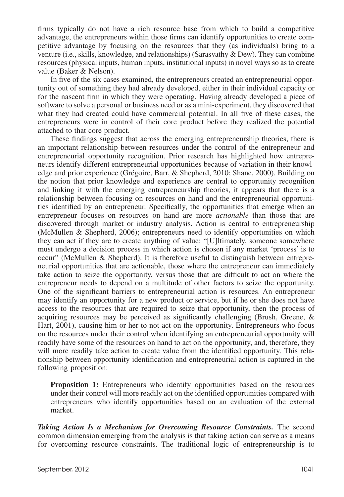firms typically do not have a rich resource base from which to build a competitive advantage, the entrepreneurs within those firms can identify opportunities to create competitive advantage by focusing on the resources that they (as individuals) bring to a venture (i.e., skills, knowledge, and relationships) (Sarasvathy & Dew). They can combine resources (physical inputs, human inputs, institutional inputs) in novel ways so as to create value (Baker & Nelson).

In five of the six cases examined, the entrepreneurs created an entrepreneurial opportunity out of something they had already developed, either in their individual capacity or for the nascent firm in which they were operating. Having already developed a piece of software to solve a personal or business need or as a mini-experiment, they discovered that what they had created could have commercial potential. In all five of these cases, the entrepreneurs were in control of their core product before they realized the potential attached to that core product.

These findings suggest that across the emerging entrepreneurship theories, there is an important relationship between resources under the control of the entrepreneur and entrepreneurial opportunity recognition. Prior research has highlighted how entrepreneurs identify different entrepreneurial opportunities because of variation in their knowledge and prior experience (Grégoire, Barr, & Shepherd, 2010; Shane, 2000). Building on the notion that prior knowledge and experience are central to opportunity recognition and linking it with the emerging entrepreneurship theories, it appears that there is a relationship between focusing on resources on hand and the entrepreneurial opportunities identified by an entrepreneur. Specifically, the opportunities that emerge when an entrepreneur focuses on resources on hand are more *actionable* than those that are discovered through market or industry analysis. Action is central to entrepreneurship (McMullen & Shepherd, 2006); entrepreneurs need to identify opportunities on which they can act if they are to create anything of value: "[U]ltimately, someone somewhere must undergo a decision process in which action is chosen if any market 'process' is to occur" (McMullen & Shepherd). It is therefore useful to distinguish between entrepreneurial opportunities that are actionable, those where the entrepreneur can immediately take action to seize the opportunity, versus those that are difficult to act on where the entrepreneur needs to depend on a multitude of other factors to seize the opportunity. One of the significant barriers to entrepreneurial action is resources. An entrepreneur may identify an opportunity for a new product or service, but if he or she does not have access to the resources that are required to seize that opportunity, then the process of acquiring resources may be perceived as significantly challenging (Brush, Greene, & Hart, 2001), causing him or her to not act on the opportunity. Entrepreneurs who focus on the resources under their control when identifying an entrepreneurial opportunity will readily have some of the resources on hand to act on the opportunity, and, therefore, they will more readily take action to create value from the identified opportunity. This relationship between opportunity identification and entrepreneurial action is captured in the following proposition:

**Proposition 1:** Entrepreneurs who identify opportunities based on the resources under their control will more readily act on the identified opportunities compared with entrepreneurs who identify opportunities based on an evaluation of the external market.

*Taking Action Is a Mechanism for Overcoming Resource Constraints.* The second common dimension emerging from the analysis is that taking action can serve as a means for overcoming resource constraints. The traditional logic of entrepreneurship is to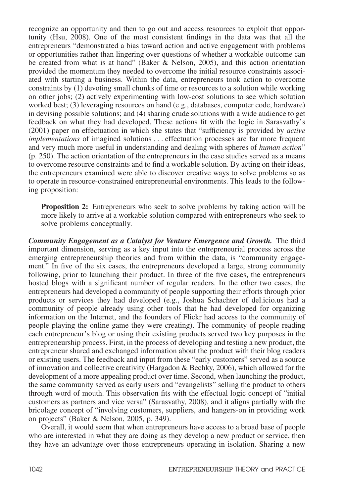recognize an opportunity and then to go out and access resources to exploit that opportunity (Hsu, 2008). One of the most consistent findings in the data was that all the entrepreneurs "demonstrated a bias toward action and active engagement with problems or opportunities rather than lingering over questions of whether a workable outcome can be created from what is at hand" (Baker & Nelson, 2005), and this action orientation provided the momentum they needed to overcome the initial resource constraints associated with starting a business. Within the data, entrepreneurs took action to overcome constraints by (1) devoting small chunks of time or resources to a solution while working on other jobs; (2) actively experimenting with low-cost solutions to see which solution worked best; (3) leveraging resources on hand (e.g., databases, computer code, hardware) in devising possible solutions; and (4) sharing crude solutions with a wide audience to get feedback on what they had developed. These actions fit with the logic in Sarasvathy's (2001) paper on effectuation in which she states that "sufficiency is provided by *active implementations* of imagined solutions . . . effectuation processes are far more frequent and very much more useful in understanding and dealing with spheres of *human action*" (p. 250). The action orientation of the entrepreneurs in the case studies served as a means to overcome resource constraints and to find a workable solution. By acting on their ideas, the entrepreneurs examined were able to discover creative ways to solve problems so as to operate in resource-constrained entrepreneurial environments. This leads to the following proposition:

**Proposition 2:** Entrepreneurs who seek to solve problems by taking action will be more likely to arrive at a workable solution compared with entrepreneurs who seek to solve problems conceptually.

*Community Engagement as a Catalyst for Venture Emergence and Growth.* The third important dimension, serving as a key input into the entrepreneurial process across the emerging entrepreneurship theories and from within the data, is "community engagement." In five of the six cases, the entrepreneurs developed a large, strong community following, prior to launching their product. In three of the five cases, the entrepreneurs hosted blogs with a significant number of regular readers. In the other two cases, the entrepreneurs had developed a community of people supporting their efforts through prior products or services they had developed (e.g., Joshua Schachter of del.icio.us had a community of people already using other tools that he had developed for organizing information on the Internet, and the founders of Flickr had access to the community of people playing the online game they were creating). The community of people reading each entrepreneur's blog or using their existing products served two key purposes in the entrepreneurship process. First, in the process of developing and testing a new product, the entrepreneur shared and exchanged information about the product with their blog readers or existing users. The feedback and input from these "early customers" served as a source of innovation and collective creativity (Hargadon & Bechky, 2006), which allowed for the development of a more appealing product over time. Second, when launching the product, the same community served as early users and "evangelists" selling the product to others through word of mouth. This observation fits with the effectual logic concept of "initial customers as partners and vice versa" (Sarasvathy, 2008), and it aligns partially with the bricolage concept of "involving customers, suppliers, and hangers-on in providing work on projects" (Baker & Nelson, 2005, p. 349).

Overall, it would seem that when entrepreneurs have access to a broad base of people who are interested in what they are doing as they develop a new product or service, then they have an advantage over those entrepreneurs operating in isolation. Sharing a new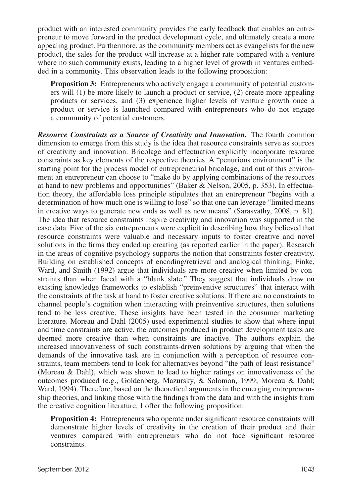product with an interested community provides the early feedback that enables an entrepreneur to move forward in the product development cycle, and ultimately create a more appealing product. Furthermore, as the community members act as evangelists for the new product, the sales for the product will increase at a higher rate compared with a venture where no such community exists, leading to a higher level of growth in ventures embedded in a community. This observation leads to the following proposition:

**Proposition 3:** Entrepreneurs who actively engage a community of potential customers will (1) be more likely to launch a product or service, (2) create more appealing products or services, and (3) experience higher levels of venture growth once a product or service is launched compared with entrepreneurs who do not engage a community of potential customers.

*Resource Constraints as a Source of Creativity and Innovation.* The fourth common dimension to emerge from this study is the idea that resource constraints serve as sources of creativity and innovation. Bricolage and effectuation explicitly incorporate resource constraints as key elements of the respective theories. A "penurious environment" is the starting point for the process model of entrepreneurial bricolage, and out of this environment an entrepreneur can choose to "make do by applying combinations of the resources at hand to new problems and opportunities" (Baker & Nelson, 2005, p. 353). In effectuation theory, the affordable loss principle stipulates that an entrepreneur "begins with a determination of how much one is willing to lose" so that one can leverage "limited means in creative ways to generate new ends as well as new means" (Sarasvathy, 2008, p. 81). The idea that resource constraints inspire creativity and innovation was supported in the case data. Five of the six entrepreneurs were explicit in describing how they believed that resource constraints were valuable and necessary inputs to foster creative and novel solutions in the firms they ended up creating (as reported earlier in the paper). Research in the areas of cognitive psychology supports the notion that constraints foster creativity. Building on established concepts of encoding/retrieval and analogical thinking, Finke, Ward, and Smith (1992) argue that individuals are more creative when limited by constraints than when faced with a "blank slate." They suggest that individuals draw on existing knowledge frameworks to establish "preinventive structures" that interact with the constraints of the task at hand to foster creative solutions. If there are no constraints to channel people's cognition when interacting with preinventive structures, then solutions tend to be less creative. These insights have been tested in the consumer marketing literature. Moreau and Dahl (2005) used experimental studies to show that where input and time constraints are active, the outcomes produced in product development tasks are deemed more creative than when constraints are inactive. The authors explain the increased innovativeness of such constraints-driven solutions by arguing that when the demands of the innovative task are in conjunction with a perception of resource constraints, team members tend to look for alternatives beyond "the path of least resistance" (Moreau & Dahl), which was shown to lead to higher ratings on innovativeness of the outcomes produced (e.g., Goldenberg, Mazursky, & Solomon, 1999; Moreau & Dahl; Ward, 1994). Therefore, based on the theoretical arguments in the emerging entrepreneurship theories, and linking those with the findings from the data and with the insights from the creative cognition literature, I offer the following proposition:

**Proposition 4:** Entrepreneurs who operate under significant resource constraints will demonstrate higher levels of creativity in the creation of their product and their ventures compared with entrepreneurs who do not face significant resource constraints.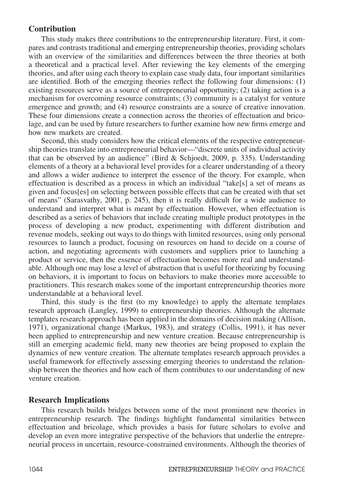# **Contribution**

This study makes three contributions to the entrepreneurship literature. First, it compares and contrasts traditional and emerging entrepreneurship theories, providing scholars with an overview of the similarities and differences between the three theories at both a theoretical and a practical level. After reviewing the key elements of the emerging theories, and after using each theory to explain case study data, four important similarities are identified. Both of the emerging theories reflect the following four dimensions: (1) existing resources serve as a source of entrepreneurial opportunity; (2) taking action is a mechanism for overcoming resource constraints; (3) community is a catalyst for venture emergence and growth; and (4) resource constraints are a source of creative innovation. These four dimensions create a connection across the theories of effectuation and bricolage, and can be used by future researchers to further examine how new firms emerge and how new markets are created.

Second, this study considers how the critical elements of the respective entrepreneurship theories translate into entrepreneurial behavior—"discrete units of individual activity that can be observed by an audience" (Bird & Schjoedt, 2009, p. 335). Understanding elements of a theory at a behavioral level provides for a clearer understanding of a theory and allows a wider audience to interpret the essence of the theory. For example, when effectuation is described as a process in which an individual "take[s] a set of means as given and focus[es] on selecting between possible effects that can be created with that set of means" (Sarasvathy, 2001, p. 245), then it is really difficult for a wide audience to understand and interpret what is meant by effectuation. However, when effectuation is described as a series of behaviors that include creating multiple product prototypes in the process of developing a new product, experimenting with different distribution and revenue models, seeking out ways to do things with limited resources, using only personal resources to launch a product, focusing on resources on hand to decide on a course of action, and negotiating agreements with customers and suppliers prior to launching a product or service, then the essence of effectuation becomes more real and understandable. Although one may lose a level of abstraction that is useful for theorizing by focusing on behaviors, it is important to focus on behaviors to make theories more accessible to practitioners. This research makes some of the important entrepreneurship theories more understandable at a behavioral level.

Third, this study is the first (to my knowledge) to apply the alternate templates research approach (Langley, 1999) to entrepreneurship theories. Although the alternate templates research approach has been applied in the domains of decision making (Allison, 1971), organizational change (Markus, 1983), and strategy (Collis, 1991), it has never been applied to entrepreneurship and new venture creation. Because entrepreneurship is still an emerging academic field, many new theories are being proposed to explain the dynamics of new venture creation. The alternate templates research approach provides a useful framework for effectively assessing emerging theories to understand the relationship between the theories and how each of them contributes to our understanding of new venture creation.

## **Research Implications**

This research builds bridges between some of the most prominent new theories in entrepreneurship research. The findings highlight fundamental similarities between effectuation and bricolage, which provides a basis for future scholars to evolve and develop an even more integrative perspective of the behaviors that underlie the entrepreneurial process in uncertain, resource-constrained environments. Although the theories of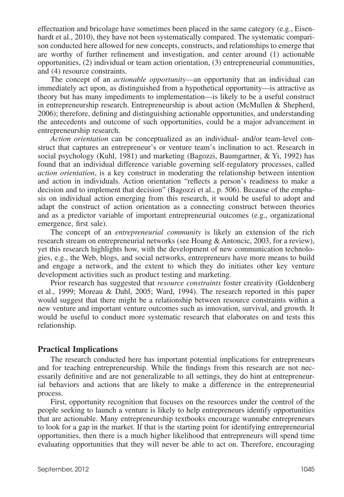effectuation and bricolage have sometimes been placed in the same category (e.g., Eisenhardt et al., 2010), they have not been systematically compared. The systematic comparison conducted here allowed for new concepts, constructs, and relationships to emerge that are worthy of further refinement and investigation, and center around (1) actionable opportunities, (2) individual or team action orientation, (3) entrepreneurial communities, and (4) resource constraints.

The concept of an *actionable opportunity*—an opportunity that an individual can immediately act upon, as distinguished from a hypothetical opportunity—is attractive as theory but has many impediments to implementation—is likely to be a useful construct in entrepreneurship research. Entrepreneurship is about action (McMullen & Shepherd, 2006); therefore, defining and distinguishing actionable opportunities, and understanding the antecedents and outcome of such opportunities, could be a major advancement in entrepreneurship research.

*Action orientation* can be conceptualized as an individual- and/or team-level construct that captures an entrepreneur's or venture team's inclination to act. Research in social psychology (Kuhl, 1981) and marketing (Bagozzi, Baumgartner, & Yi, 1992) has found that an individual difference variable governing self-regulatory processes, called *action orientation*, is a key construct in moderating the relationship between intention and action in individuals. Action orientation "reflects a person's readiness to make a decision and to implement that decision" (Bagozzi et al., p. 506). Because of the emphasis on individual action emerging from this research, it would be useful to adopt and adapt the construct of action orientation as a connecting construct between theories and as a predictor variable of important entrepreneurial outcomes (e.g., organizational emergence, first sale).

The concept of an *entrepreneurial community* is likely an extension of the rich research stream on entrepreneurial networks (see Hoang & Antoncic, 2003, for a review), yet this research highlights how, with the development of new communication technologies, e.g., the Web, blogs, and social networks, entrepreneurs have more means to build and engage a network, and the extent to which they do initiates other key venture development activities such as product testing and marketing.

Prior research has suggested that *resource constraints* foster creativity (Goldenberg et al., 1999; Moreau & Dahl, 2005; Ward, 1994). The research reported in this paper would suggest that there might be a relationship between resource constraints within a new venture and important venture outcomes such as innovation, survival, and growth. It would be useful to conduct more systematic research that elaborates on and tests this relationship.

### **Practical Implications**

The research conducted here has important potential implications for entrepreneurs and for teaching entrepreneurship. While the findings from this research are not necessarily definitive and are not generalizable to all settings, they do hint at entrepreneurial behaviors and actions that are likely to make a difference in the entrepreneurial process.

First, opportunity recognition that focuses on the resources under the control of the people seeking to launch a venture is likely to help entrepreneurs identify opportunities that are actionable. Many entrepreneurship textbooks encourage wannabe entrepreneurs to look for a gap in the market. If that is the starting point for identifying entrepreneurial opportunities, then there is a much higher likelihood that entrepreneurs will spend time evaluating opportunities that they will never be able to act on. Therefore, encouraging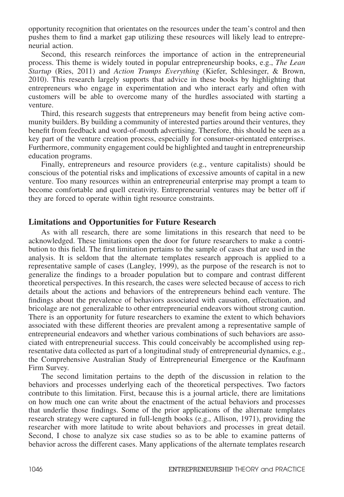opportunity recognition that orientates on the resources under the team's control and then pushes them to find a market gap utilizing these resources will likely lead to entrepreneurial action.

Second, this research reinforces the importance of action in the entrepreneurial process. This theme is widely touted in popular entrepreneurship books, e.g., *The Lean Startup* (Ries, 2011) and *Action Trumps Everything* (Kiefer, Schlesinger, & Brown, 2010). This research largely supports that advice in these books by highlighting that entrepreneurs who engage in experimentation and who interact early and often with customers will be able to overcome many of the hurdles associated with starting a venture.

Third, this research suggests that entrepreneurs may benefit from being active community builders. By building a community of interested parties around their ventures, they benefit from feedback and word-of-mouth advertising. Therefore, this should be seen as a key part of the venture creation process, especially for consumer-orientated enterprises. Furthermore, community engagement could be highlighted and taught in entrepreneurship education programs.

Finally, entrepreneurs and resource providers (e.g., venture capitalists) should be conscious of the potential risks and implications of excessive amounts of capital in a new venture. Too many resources within an entrepreneurial enterprise may prompt a team to become comfortable and quell creativity. Entrepreneurial ventures may be better off if they are forced to operate within tight resource constraints.

### **Limitations and Opportunities for Future Research**

As with all research, there are some limitations in this research that need to be acknowledged. These limitations open the door for future researchers to make a contribution to this field. The first limitation pertains to the sample of cases that are used in the analysis. It is seldom that the alternate templates research approach is applied to a representative sample of cases (Langley, 1999), as the purpose of the research is not to generalize the findings to a broader population but to compare and contrast different theoretical perspectives. In this research, the cases were selected because of access to rich details about the actions and behaviors of the entrepreneurs behind each venture. The findings about the prevalence of behaviors associated with causation, effectuation, and bricolage are not generalizable to other entrepreneurial endeavors without strong caution. There is an opportunity for future researchers to examine the extent to which behaviors associated with these different theories are prevalent among a representative sample of entrepreneurial endeavors and whether various combinations of such behaviors are associated with entrepreneurial success. This could conceivably be accomplished using representative data collected as part of a longitudinal study of entrepreneurial dynamics, e.g., the Comprehensive Australian Study of Entrepreneurial Emergence or the Kaufmann Firm Survey.

The second limitation pertains to the depth of the discussion in relation to the behaviors and processes underlying each of the theoretical perspectives. Two factors contribute to this limitation. First, because this is a journal article, there are limitations on how much one can write about the enactment of the actual behaviors and processes that underlie those findings. Some of the prior applications of the alternate templates research strategy were captured in full-length books (e.g., Allison, 1971), providing the researcher with more latitude to write about behaviors and processes in great detail. Second, I chose to analyze six case studies so as to be able to examine patterns of behavior across the different cases. Many applications of the alternate templates research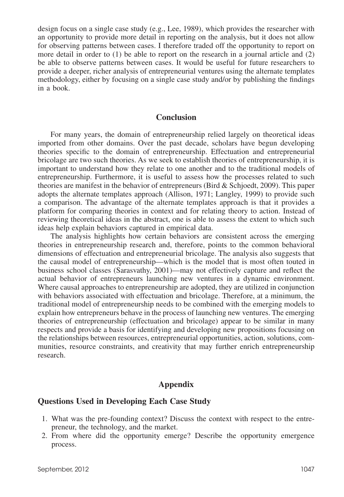design focus on a single case study (e.g., Lee, 1989), which provides the researcher with an opportunity to provide more detail in reporting on the analysis, but it does not allow for observing patterns between cases. I therefore traded off the opportunity to report on more detail in order to (1) be able to report on the research in a journal article and (2) be able to observe patterns between cases. It would be useful for future researchers to provide a deeper, richer analysis of entrepreneurial ventures using the alternate templates methodology, either by focusing on a single case study and/or by publishing the findings in a book.

### **Conclusion**

For many years, the domain of entrepreneurship relied largely on theoretical ideas imported from other domains. Over the past decade, scholars have begun developing theories specific to the domain of entrepreneurship. Effectuation and entrepreneurial bricolage are two such theories. As we seek to establish theories of entrepreneurship, it is important to understand how they relate to one another and to the traditional models of entrepreneurship. Furthermore, it is useful to assess how the processes related to such theories are manifest in the behavior of entrepreneurs (Bird & Schjoedt, 2009). This paper adopts the alternate templates approach (Allison, 1971; Langley, 1999) to provide such a comparison. The advantage of the alternate templates approach is that it provides a platform for comparing theories in context and for relating theory to action. Instead of reviewing theoretical ideas in the abstract, one is able to assess the extent to which such ideas help explain behaviors captured in empirical data.

The analysis highlights how certain behaviors are consistent across the emerging theories in entrepreneurship research and, therefore, points to the common behavioral dimensions of effectuation and entrepreneurial bricolage. The analysis also suggests that the causal model of entrepreneurship—which is the model that is most often touted in business school classes (Sarasvathy, 2001)—may not effectively capture and reflect the actual behavior of entrepreneurs launching new ventures in a dynamic environment. Where causal approaches to entrepreneurship are adopted, they are utilized in conjunction with behaviors associated with effectuation and bricolage. Therefore, at a minimum, the traditional model of entrepreneurship needs to be combined with the emerging models to explain how entrepreneurs behave in the process of launching new ventures. The emerging theories of entrepreneurship (effectuation and bricolage) appear to be similar in many respects and provide a basis for identifying and developing new propositions focusing on the relationships between resources, entrepreneurial opportunities, action, solutions, communities, resource constraints, and creativity that may further enrich entrepreneurship research.

### **Appendix**

### **Questions Used in Developing Each Case Study**

- 1. What was the pre-founding context? Discuss the context with respect to the entrepreneur, the technology, and the market.
- 2. From where did the opportunity emerge? Describe the opportunity emergence process.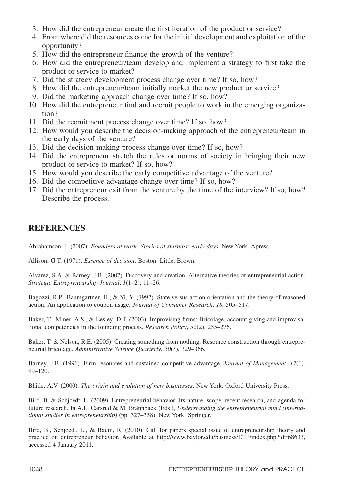- 3. How did the entrepreneur create the first iteration of the product or service?
- 4. From where did the resources come for the initial development and exploitation of the opportunity?
- 5. How did the entrepreneur finance the growth of the venture?
- 6. How did the entrepreneur/team develop and implement a strategy to first take the product or service to market?
- 7. Did the strategy development process change over time? If so, how?
- 8. How did the entrepreneur/team initially market the new product or service?
- 9. Did the marketing approach change over time? If so, how?
- 10. How did the entrepreneur find and recruit people to work in the emerging organization?
- 11. Did the recruitment process change over time? If so, how?
- 12. How would you describe the decision-making approach of the entrepreneur/team in the early days of the venture?
- 13. Did the decision-making process change over time? If so, how?
- 14. Did the entrepreneur stretch the rules or norms of society in bringing their new product or service to market? If so, how?
- 15. How would you describe the early competitive advantage of the venture?
- 16. Did the competitive advantage change over time? If so, how?
- 17. Did the entrepreneur exit from the venture by the time of the interview? If so, how? Describe the process.

# **REFERENCES**

Abrahamson, J. (2007). *Founders at work: Stories of startups' early days*. New York: Apress.

Allison, G.T. (1971). *Essence of decision*. Boston: Little, Brown.

Alvarez, S.A. & Barney, J.B. (2007). Discovery and creation: Alternative theories of entrepreneurial action. *Strategic Entrepreneurship Journal*, *1*(1–2), 11–26.

Bagozzi, R.P., Baumgartner, H., & Yi, Y. (1992). State versus action orientation and the theory of reasoned action: An application to coupon usage. *Journal of Consumer Research*, *18*, 505–517.

Baker, T., Miner, A.S., & Eesley, D.T. (2003). Improvising firms: Bricolage, account giving and improvisational competencies in the founding process. *Research Policy*, *32*(2), 255–276.

Baker, T. & Nelson, R.E. (2005). Creating something from nothing: Resource construction through entrepreneurial bricolage. *Administrative Science Quarterly*, *50*(3), 329–366.

Barney, J.B. (1991). Firm resources and sustained competitive advantage. *Journal of Management*, *17*(1), 99–120.

Bhide, A.V. (2000). *The origin and evolution of new businesses*. New York: Oxford University Press.

Bird, B. & Schjoedt, L. (2009). Entrepreneurial behavior: Its nature, scope, recent research, and agenda for future research. In A.L. Carsrud & M. Brännback (Eds.), *Understanding the entrepreneurial mind (international studies in entrepreneurship)* (pp. 327–358). New York: Springer.

Bird, B., Schjoedt, L., & Baum, R. (2010). Call for papers special issue of entrepreneurship theory and practice on entrepreneur behavior. Available at http://www.baylor.edu/business/ETP/index.php?id=68633, accessed 4 January 2011.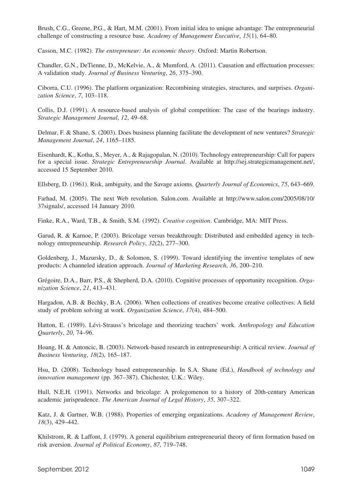Brush, C.G., Greene, P.G., & Hart, M.M. (2001). From initial idea to unique advantage: The entrepreneurial challenge of constructing a resource base. *Academy of Management Executive*, *15*(1), 64–80.

Casson, M.C. (1982). *The entrepreneur: An economic theory*. Oxford: Martin Robertson.

Chandler, G.N., DeTienne, D., McKelvie, A., & Mumford, A. (2011). Causation and effectuation processes: A validation study. *Journal of Business Venturing*, *26*, 375–390.

Ciborra, C.U. (1996). The platform organization: Recombining strategies, structures, and surprises. *Organization Science*, *7*, 103–118.

Collis, D.J. (1991). A resource-based analysis of global competition: The case of the bearings industry. *Strategic Management Journal*, *12*, 49–68.

Delmar, F. & Shane, S. (2003). Does business planning facilitate the development of new ventures? *Strategic Management Journal*, *24*, 1165–1185.

Eisenhardt, K., Kotha, S., Meyer, A., & Rajagopalan, N. (2010). Technology entrepreneurship: Call for papers for a special issue. *Strategic Entrepreneurship Journal*. Available at http://sej.strategicmanagement.net/, accessed 15 September 2010.

Ellsberg, D. (1961). Risk, ambiguity, and the Savage axioms. *Quarterly Journal of Economics*, *75*, 643–669.

Farhad, M. (2005). The next Web revolution. Salon.com. Available at http://www.salon.com/2005/08/10/ 37signals/, accessed 14 January 2010.

Finke, R.A., Ward, T.B., & Smith, S.M. (1992). *Creative cognition*. Cambridge, MA: MIT Press.

Garud, R. & Karnoe, P. (2003). Bricolage versus breakthrough: Distributed and embedded agency in technology entrepreneurship. *Research Policy*, *32*(2), 277–300.

Goldenberg, J., Mazursky, D., & Solomon, S. (1999). Toward identifying the inventive templates of new products: A channeled ideation approach. *Journal of Marketing Research*, *36*, 200–210.

Grégoire, D.A., Barr, P.S., & Shepherd, D.A. (2010). Cognitive processes of opportunity recognition. *Organization Science*, *21*, 413–431.

Hargadon, A.B. & Bechky, B.A. (2006). When collections of creatives become creative collectives: A field study of problem solving at work. *Organization Science*, *17*(4), 484–500.

Hatton, E. (1989). Lévi-Strauss's bricolage and theorizing teachers' work. *Anthropology and Education Quarterly*, *20*, 74–96.

Hoang, H. & Antoncic, B. (2003). Network-based research in entrepreneurship: A critical review. *Journal of Business Venturing*, *18*(2), 165–187.

Hsu, D. (2008). Technology based entrepreneurship. In S.A. Shane (Ed.), *Handbook of technology and innovation management* (pp. 367–387). Chichester, U.K.: Wiley.

Hull, N.E.H. (1991). Networks and bricolage: A prolegomenon to a history of 20th-century American academic jurisprudence. *The American Journal of Legal History*, *35*, 307–322.

Katz, J. & Gartner, W.B. (1988). Properties of emerging organizations. *Academy of Management Review*, *18*(3), 429–442.

Khilstrom, R. & Laffont, J. (1979). A general equilibrium entrepreneurial theory of firm formation based on risk aversion. *Journal of Political Economy*, *87*, 719–748.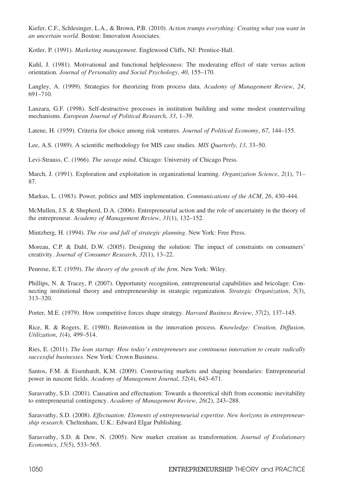Kiefer, C.F., Schlesinger, L.A., & Brown, P.B. (2010). *Action trumps everything: Creating what you want in an uncertain world*. Boston: Innovation Associates.

Kotler, P. (1991). *Marketing management*. Englewood Cliffs, NJ: Prentice-Hall.

Kuhl, J. (1981). Motivational and functional helplessness: The moderating effect of state versus action orientation. *Journal of Personality and Social Psychology*, *40*, 155–170.

Langley, A. (1999). Strategies for theorizing from process data. *Academy of Management Review*, *24*, 691–710.

Lanzara, G.F. (1998). Self-destructive processes in institution building and some modest countervailing mechanisms. *European Journal of Political Research*, *33*, 1–39.

Latene, H. (1959). Criteria for choice among risk ventures. *Journal of Political Economy*, *67*, 144–155.

Lee, A.S. (1989). A scientific methodology for MIS case studies. *MIS Quarterly*, *13*, 33–50.

Levi-Strauss, C. (1966). *The savage mind*. Chicago: University of Chicago Press.

March, J. (1991). Exploration and exploitation in organizational learning. *Organization Science*, *2*(1), 71– 87.

Markus, L. (1983). Power, politics and MIS implementation. *Communications of the ACM*, *26*, 430–444.

McMullen, J.S. & Shepherd, D.A. (2006). Entrepreneurial action and the role of uncertainty in the theory of the entrepreneur. *Academy of Management Review*, *31*(1), 132–152.

Mintzberg, H. (1994). *The rise and fall of strategic planning*. New York: Free Press.

Moreau, C.P. & Dahl, D.W. (2005). Designing the solution: The impact of constraints on consumers' creativity. *Journal of Consumer Research*, *32*(1), 13–22.

Penrose, E.T. (1959). *The theory of the growth of the firm*. New York: Wiley.

Phillips, N. & Tracey, P. (2007). Opportunity recognition, entrepreneurial capabilities and bricolage: Connecting institutional theory and entrepreneurship in strategic organization. *Strategic Organization*, *5*(3), 313–320.

Porter, M.E. (1979). How competitive forces shape strategy. *Harvard Business Review*, *57*(2), 137–145.

Rice, R. & Rogers, E. (1980). Reinvention in the innovation process. *Knowledge: Creation, Diffusion, Utilization*, *1*(4), 499–514.

Ries, E. (2011). *The lean startup: How today's entrepreneurs use continuous innovation to create radically successful businesses*. New York: Crown Business.

Santos, F.M. & Eisenhardt, K.M. (2009). Constructing markets and shaping boundaries: Entrepreneurial power in nascent fields. *Academy of Management Journal*, *52*(4), 643–671.

Sarasvathy, S.D. (2001). Causation and effectuation: Towards a theoretical shift from economic inevitability to entrepreneurial contingency. *Academy of Management Review*, *26*(2), 243–288.

Sarasvathy, S.D. (2008). *Effectuation: Elements of entrepreneurial expertise. New horizons in entrepreneurship research*. Cheltenham, U.K.: Edward Elgar Publishing.

Sarasvathy, S.D. & Dew, N. (2005). New market creation as transformation. *Journal of Evolutionary Economics*, *15*(5), 533–565.